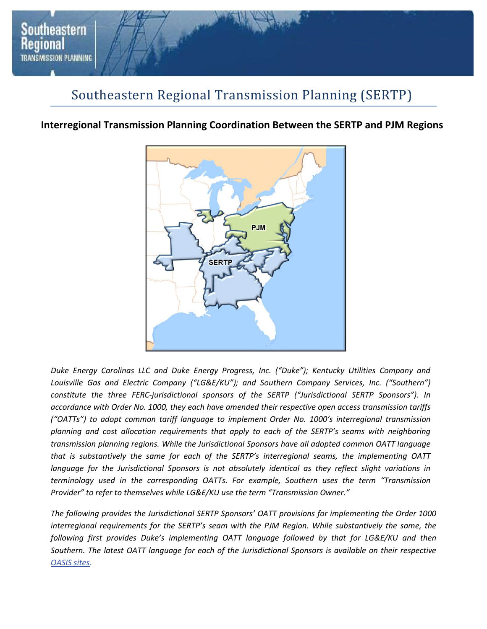

# Southeastern Regional Transmission Planning (SERTP)

# **Interregional Transmission Planning Coordination Between the SERTP and PJM Regions**



*Duke Energy Carolinas LLC and Duke Energy Progress, Inc. ("Duke"); Kentucky Utilities Company and*  Louisville Gas and Electric Company ("LG&E/KU"); and Southern Company Services, Inc. ("Southern") *constitute the three FERC-jurisdictional sponsors of the SERTP ("Jurisdictional SERTP Sponsors"). In accordance with Order No. 1000, they each have amended their respective open access transmission tariffs ("OATTs") to adopt common tariff language to implement Order No. 1000's interregional transmission planning and cost allocation requirements that apply to each of the SERTP's seams with neighboring transmission planning regions. While the Jurisdictional Sponsors have all adopted common OATT language that is substantively the same for each of the SERTP's interregional seams, the implementing OATT language for the Jurisdictional Sponsors is not absolutely identical as they reflect slight variations in terminology used in the corresponding OATTs. For example, Southern uses the term "Transmission Provider" to refer to themselves while LG&E/KU use the term "Transmission Owner."* 

*The following provides the Jurisdictional SERTP Sponsors' OATT provisions for implementing the Order 1000 interregional requirements for the SERTP's seam with the PJM Region. While substantively the same, the following first provides Duke's implementing OATT language followed by that for LG&E/KU and then Southern. The latest OATT language for each of the Jurisdictional Sponsors is available on their respective OASIS sites.*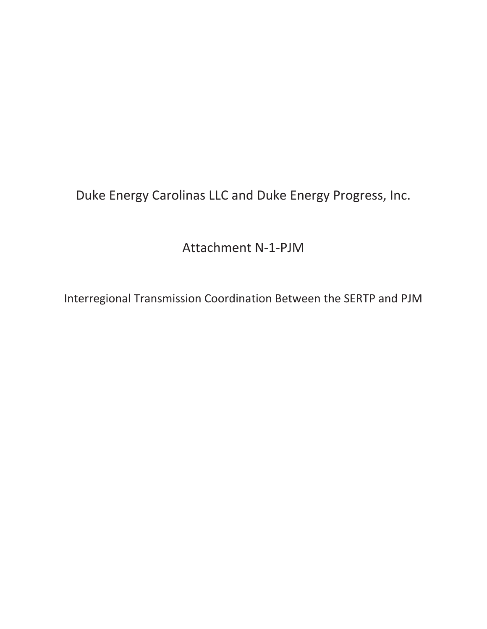Duke Energy Carolinas LLC and Duke Energy Progress, Inc.

Attachment N-1-PJM

Interregional Transmission Coordination Between the SERTP and PJM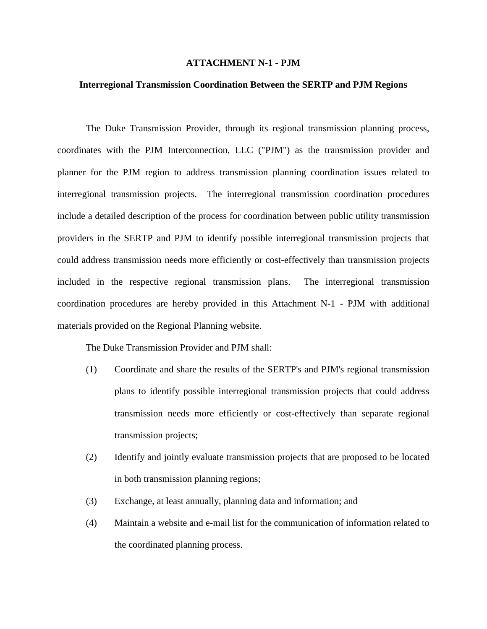### **ATTACHMENT N-1 - PJM**

### **Interregional Transmission Coordination Between the SERTP and PJM Regions**

The Duke Transmission Provider, through its regional transmission planning process, coordinates with the PJM Interconnection, LLC ("PJM") as the transmission provider and planner for the PJM region to address transmission planning coordination issues related to interregional transmission projects. The interregional transmission coordination procedures include a detailed description of the process for coordination between public utility transmission providers in the SERTP and PJM to identify possible interregional transmission projects that could address transmission needs more efficiently or cost-effectively than transmission projects included in the respective regional transmission plans. The interregional transmission coordination procedures are hereby provided in this Attachment N-1 - PJM with additional materials provided on the Regional Planning website.

The Duke Transmission Provider and PJM shall:

- (1) Coordinate and share the results of the SERTP's and PJM's regional transmission plans to identify possible interregional transmission projects that could address transmission needs more efficiently or cost-effectively than separate regional transmission projects;
- (2) Identify and jointly evaluate transmission projects that are proposed to be located in both transmission planning regions;
- (3) Exchange, at least annually, planning data and information; and
- (4) Maintain a website and e-mail list for the communication of information related to the coordinated planning process.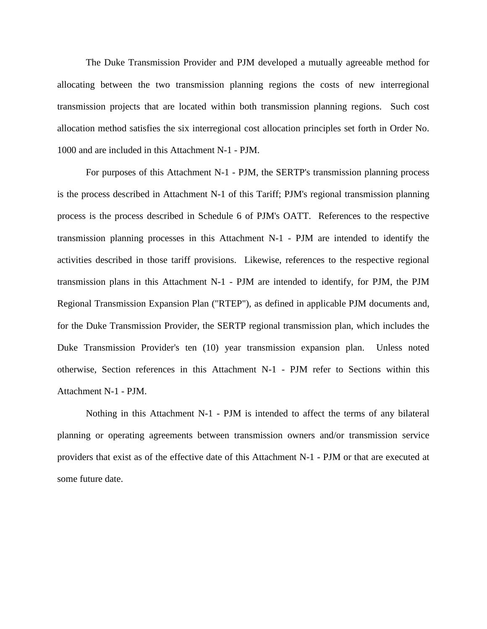The Duke Transmission Provider and PJM developed a mutually agreeable method for allocating between the two transmission planning regions the costs of new interregional transmission projects that are located within both transmission planning regions. Such cost allocation method satisfies the six interregional cost allocation principles set forth in Order No. 1000 and are included in this Attachment N-1 - PJM.

For purposes of this Attachment N-1 - PJM, the SERTP's transmission planning process is the process described in Attachment N-1 of this Tariff; PJM's regional transmission planning process is the process described in Schedule 6 of PJM's OATT. References to the respective transmission planning processes in this Attachment N-1 - PJM are intended to identify the activities described in those tariff provisions. Likewise, references to the respective regional transmission plans in this Attachment N-1 - PJM are intended to identify, for PJM, the PJM Regional Transmission Expansion Plan ("RTEP"), as defined in applicable PJM documents and, for the Duke Transmission Provider, the SERTP regional transmission plan, which includes the Duke Transmission Provider's ten (10) year transmission expansion plan. Unless noted otherwise, Section references in this Attachment N-1 - PJM refer to Sections within this Attachment N-1 - PJM.

Nothing in this Attachment N-1 - PJM is intended to affect the terms of any bilateral planning or operating agreements between transmission owners and/or transmission service providers that exist as of the effective date of this Attachment N-1 - PJM or that are executed at some future date.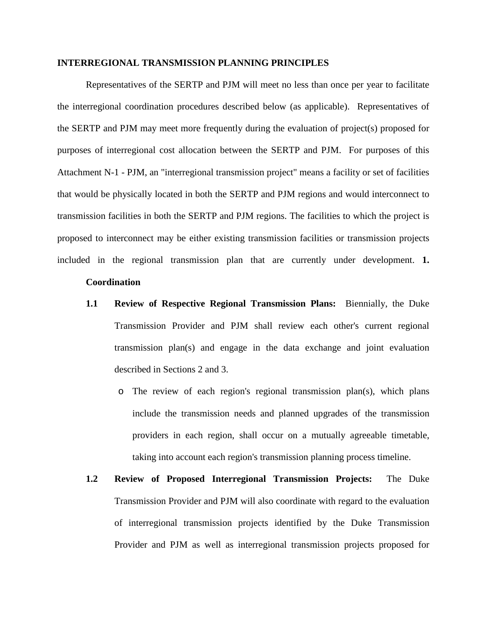#### **INTERREGIONAL TRANSMISSION PLANNING PRINCIPLES**

Representatives of the SERTP and PJM will meet no less than once per year to facilitate the interregional coordination procedures described below (as applicable). Representatives of the SERTP and PJM may meet more frequently during the evaluation of project(s) proposed for purposes of interregional cost allocation between the SERTP and PJM. For purposes of this Attachment N-1 - PJM, an "interregional transmission project" means a facility or set of facilities that would be physically located in both the SERTP and PJM regions and would interconnect to transmission facilities in both the SERTP and PJM regions. The facilities to which the project is proposed to interconnect may be either existing transmission facilities or transmission projects included in the regional transmission plan that are currently under development. **1.**

### **Coordination**

- **1.1 Review of Respective Regional Transmission Plans:** Biennially, the Duke Transmission Provider and PJM shall review each other's current regional transmission plan(s) and engage in the data exchange and joint evaluation described in Sections 2 and 3.
	- o The review of each region's regional transmission plan(s), which plans include the transmission needs and planned upgrades of the transmission providers in each region, shall occur on a mutually agreeable timetable, taking into account each region's transmission planning process timeline.
- **1.2 Review of Proposed Interregional Transmission Projects:** The Duke Transmission Provider and PJM will also coordinate with regard to the evaluation of interregional transmission projects identified by the Duke Transmission Provider and PJM as well as interregional transmission projects proposed for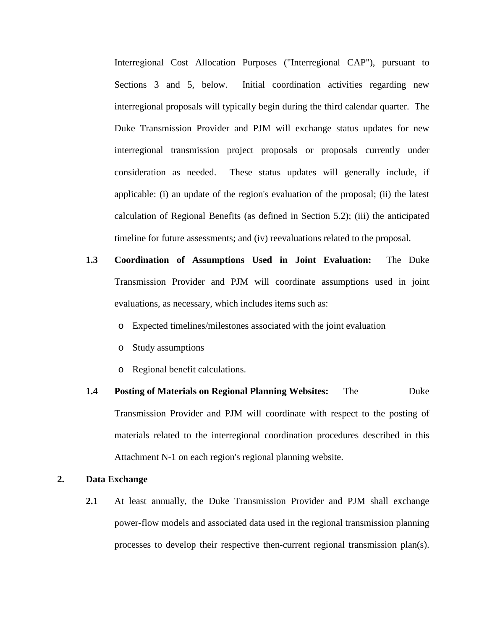Interregional Cost Allocation Purposes ("Interregional CAP"), pursuant to Sections 3 and 5, below. Initial coordination activities regarding new interregional proposals will typically begin during the third calendar quarter. The Duke Transmission Provider and PJM will exchange status updates for new interregional transmission project proposals or proposals currently under consideration as needed. These status updates will generally include, if applicable: (i) an update of the region's evaluation of the proposal; (ii) the latest calculation of Regional Benefits (as defined in Section 5.2); (iii) the anticipated timeline for future assessments; and (iv) reevaluations related to the proposal.

- **1.3 Coordination of Assumptions Used in Joint Evaluation:** The Duke Transmission Provider and PJM will coordinate assumptions used in joint evaluations, as necessary, which includes items such as:
	- o Expected timelines/milestones associated with the joint evaluation
	- o Study assumptions
	- o Regional benefit calculations.
- **1.4 Posting of Materials on Regional Planning Websites:** The Duke Transmission Provider and PJM will coordinate with respect to the posting of materials related to the interregional coordination procedures described in this Attachment N-1 on each region's regional planning website.

# **2. Data Exchange**

**2.1** At least annually, the Duke Transmission Provider and PJM shall exchange power-flow models and associated data used in the regional transmission planning processes to develop their respective then-current regional transmission plan(s).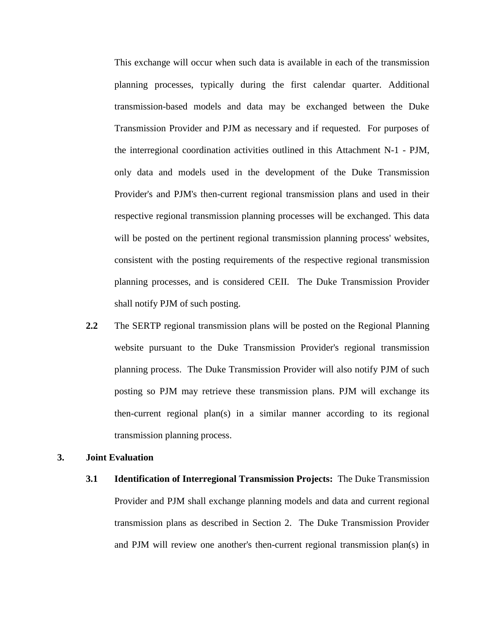This exchange will occur when such data is available in each of the transmission planning processes, typically during the first calendar quarter. Additional transmission-based models and data may be exchanged between the Duke Transmission Provider and PJM as necessary and if requested. For purposes of the interregional coordination activities outlined in this Attachment N-1 - PJM, only data and models used in the development of the Duke Transmission Provider's and PJM's then-current regional transmission plans and used in their respective regional transmission planning processes will be exchanged. This data will be posted on the pertinent regional transmission planning process' websites, consistent with the posting requirements of the respective regional transmission planning processes, and is considered CEII. The Duke Transmission Provider shall notify PJM of such posting.

**2.2** The SERTP regional transmission plans will be posted on the Regional Planning website pursuant to the Duke Transmission Provider's regional transmission planning process. The Duke Transmission Provider will also notify PJM of such posting so PJM may retrieve these transmission plans. PJM will exchange its then-current regional plan(s) in a similar manner according to its regional transmission planning process.

#### **3. Joint Evaluation**

**3.1 Identification of Interregional Transmission Projects:** The Duke Transmission Provider and PJM shall exchange planning models and data and current regional transmission plans as described in Section 2. The Duke Transmission Provider and PJM will review one another's then-current regional transmission plan(s) in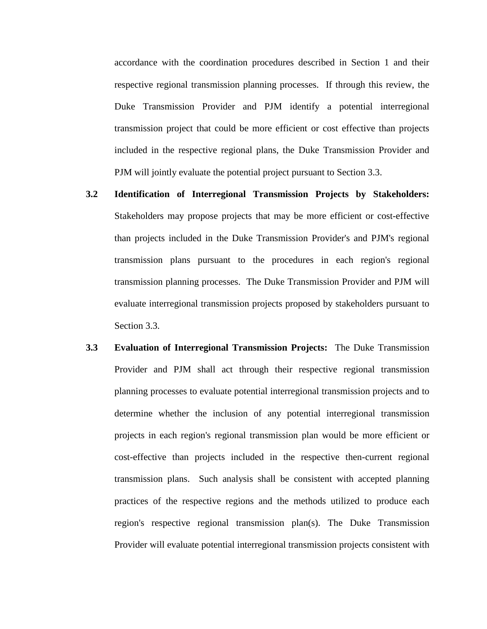accordance with the coordination procedures described in Section 1 and their respective regional transmission planning processes. If through this review, the Duke Transmission Provider and PJM identify a potential interregional transmission project that could be more efficient or cost effective than projects included in the respective regional plans, the Duke Transmission Provider and PJM will jointly evaluate the potential project pursuant to Section 3.3.

- **3.2 Identification of Interregional Transmission Projects by Stakeholders:**  Stakeholders may propose projects that may be more efficient or cost-effective than projects included in the Duke Transmission Provider's and PJM's regional transmission plans pursuant to the procedures in each region's regional transmission planning processes. The Duke Transmission Provider and PJM will evaluate interregional transmission projects proposed by stakeholders pursuant to Section 3.3.
- **3.3 Evaluation of Interregional Transmission Projects:** The Duke Transmission Provider and PJM shall act through their respective regional transmission planning processes to evaluate potential interregional transmission projects and to determine whether the inclusion of any potential interregional transmission projects in each region's regional transmission plan would be more efficient or cost-effective than projects included in the respective then-current regional transmission plans. Such analysis shall be consistent with accepted planning practices of the respective regions and the methods utilized to produce each region's respective regional transmission plan(s). The Duke Transmission Provider will evaluate potential interregional transmission projects consistent with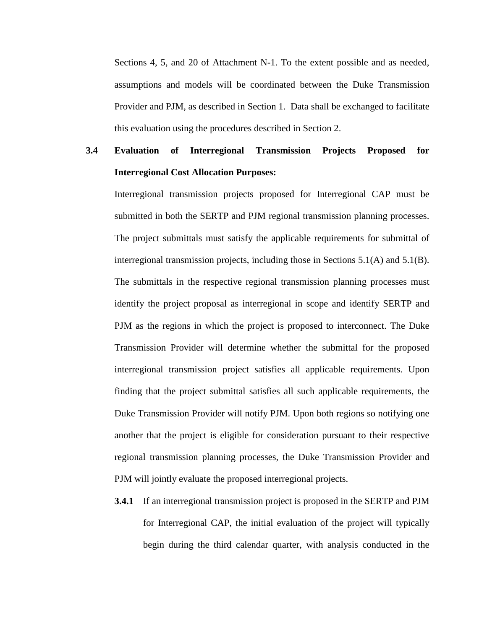Sections 4, 5, and 20 of Attachment N-1. To the extent possible and as needed, assumptions and models will be coordinated between the Duke Transmission Provider and PJM, as described in Section 1. Data shall be exchanged to facilitate this evaluation using the procedures described in Section 2.

# **3.4 Evaluation of Interregional Transmission Projects Proposed for Interregional Cost Allocation Purposes:**

Interregional transmission projects proposed for Interregional CAP must be submitted in both the SERTP and PJM regional transmission planning processes. The project submittals must satisfy the applicable requirements for submittal of interregional transmission projects, including those in Sections 5.1(A) and 5.1(B). The submittals in the respective regional transmission planning processes must identify the project proposal as interregional in scope and identify SERTP and PJM as the regions in which the project is proposed to interconnect. The Duke Transmission Provider will determine whether the submittal for the proposed interregional transmission project satisfies all applicable requirements. Upon finding that the project submittal satisfies all such applicable requirements, the Duke Transmission Provider will notify PJM. Upon both regions so notifying one another that the project is eligible for consideration pursuant to their respective regional transmission planning processes, the Duke Transmission Provider and PJM will jointly evaluate the proposed interregional projects.

**3.4.1** If an interregional transmission project is proposed in the SERTP and PJM for Interregional CAP, the initial evaluation of the project will typically begin during the third calendar quarter, with analysis conducted in the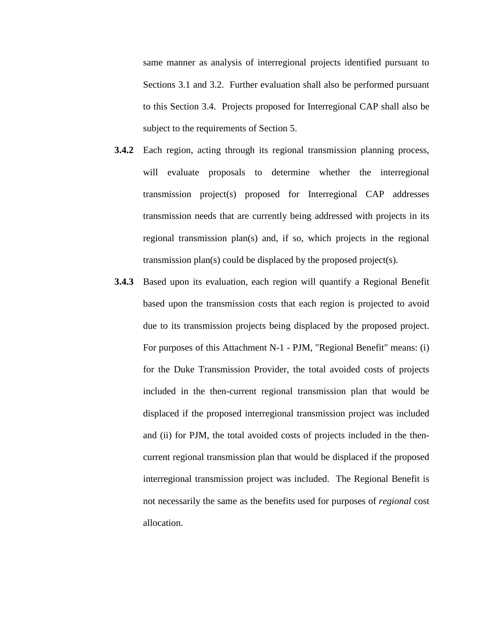same manner as analysis of interregional projects identified pursuant to Sections 3.1 and 3.2. Further evaluation shall also be performed pursuant to this Section 3.4. Projects proposed for Interregional CAP shall also be subject to the requirements of Section 5.

- **3.4.2** Each region, acting through its regional transmission planning process, will evaluate proposals to determine whether the interregional transmission project(s) proposed for Interregional CAP addresses transmission needs that are currently being addressed with projects in its regional transmission plan(s) and, if so, which projects in the regional transmission plan(s) could be displaced by the proposed project(s).
- **3.4.3** Based upon its evaluation, each region will quantify a Regional Benefit based upon the transmission costs that each region is projected to avoid due to its transmission projects being displaced by the proposed project. For purposes of this Attachment N-1 - PJM, "Regional Benefit" means: (i) for the Duke Transmission Provider, the total avoided costs of projects included in the then-current regional transmission plan that would be displaced if the proposed interregional transmission project was included and (ii) for PJM, the total avoided costs of projects included in the thencurrent regional transmission plan that would be displaced if the proposed interregional transmission project was included. The Regional Benefit is not necessarily the same as the benefits used for purposes of *regional* cost allocation.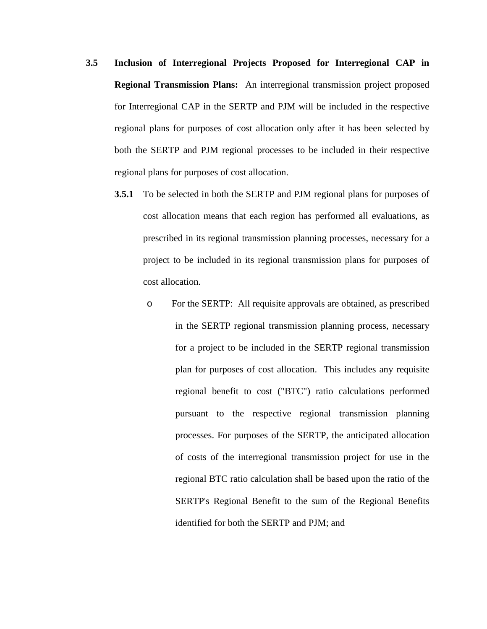- **3.5 Inclusion of Interregional Projects Proposed for Interregional CAP in Regional Transmission Plans:** An interregional transmission project proposed for Interregional CAP in the SERTP and PJM will be included in the respective regional plans for purposes of cost allocation only after it has been selected by both the SERTP and PJM regional processes to be included in their respective regional plans for purposes of cost allocation.
	- **3.5.1** To be selected in both the SERTP and PJM regional plans for purposes of cost allocation means that each region has performed all evaluations, as prescribed in its regional transmission planning processes, necessary for a project to be included in its regional transmission plans for purposes of cost allocation.
		- o For the SERTP: All requisite approvals are obtained, as prescribed in the SERTP regional transmission planning process, necessary for a project to be included in the SERTP regional transmission plan for purposes of cost allocation. This includes any requisite regional benefit to cost ("BTC") ratio calculations performed pursuant to the respective regional transmission planning processes. For purposes of the SERTP, the anticipated allocation of costs of the interregional transmission project for use in the regional BTC ratio calculation shall be based upon the ratio of the SERTP's Regional Benefit to the sum of the Regional Benefits identified for both the SERTP and PJM; and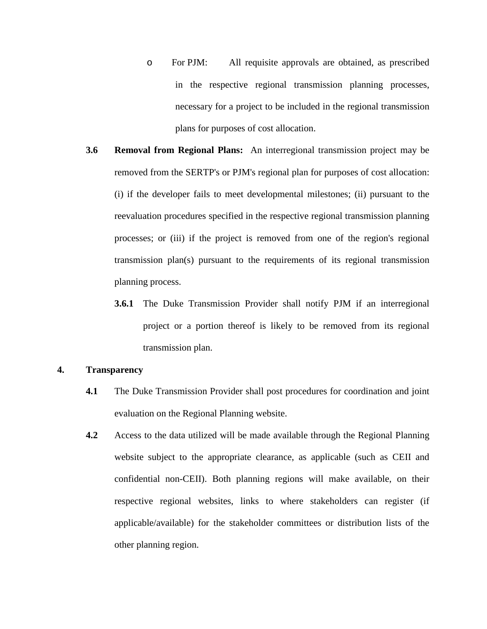- o For PJM: All requisite approvals are obtained, as prescribed in the respective regional transmission planning processes, necessary for a project to be included in the regional transmission plans for purposes of cost allocation.
- **3.6 Removal from Regional Plans:** An interregional transmission project may be removed from the SERTP's or PJM's regional plan for purposes of cost allocation: (i) if the developer fails to meet developmental milestones; (ii) pursuant to the reevaluation procedures specified in the respective regional transmission planning processes; or (iii) if the project is removed from one of the region's regional transmission plan(s) pursuant to the requirements of its regional transmission planning process.
	- **3.6.1** The Duke Transmission Provider shall notify PJM if an interregional project or a portion thereof is likely to be removed from its regional transmission plan.

## **4. Transparency**

- **4.1** The Duke Transmission Provider shall post procedures for coordination and joint evaluation on the Regional Planning website.
- **4.2** Access to the data utilized will be made available through the Regional Planning website subject to the appropriate clearance, as applicable (such as CEII and confidential non-CEII). Both planning regions will make available, on their respective regional websites, links to where stakeholders can register (if applicable/available) for the stakeholder committees or distribution lists of the other planning region.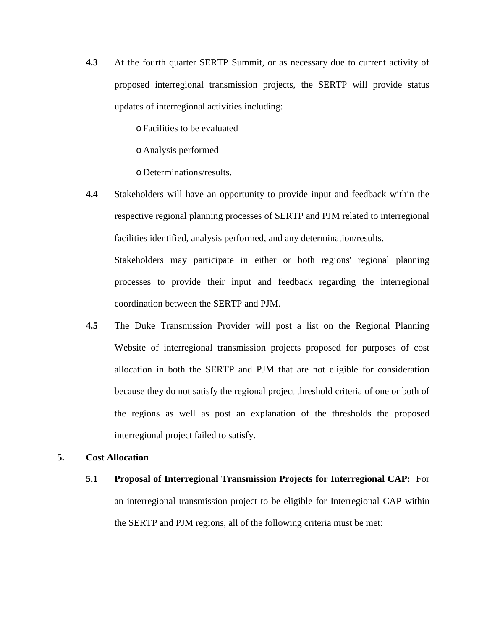**4.3** At the fourth quarter SERTP Summit, or as necessary due to current activity of proposed interregional transmission projects, the SERTP will provide status updates of interregional activities including:

oFacilities to be evaluated

o Analysis performed

o Determinations/results.

**4.4** Stakeholders will have an opportunity to provide input and feedback within the respective regional planning processes of SERTP and PJM related to interregional facilities identified, analysis performed, and any determination/results.

Stakeholders may participate in either or both regions' regional planning processes to provide their input and feedback regarding the interregional coordination between the SERTP and PJM.

**4.5** The Duke Transmission Provider will post a list on the Regional Planning Website of interregional transmission projects proposed for purposes of cost allocation in both the SERTP and PJM that are not eligible for consideration because they do not satisfy the regional project threshold criteria of one or both of the regions as well as post an explanation of the thresholds the proposed interregional project failed to satisfy.

# **5. Cost Allocation**

**5.1 Proposal of Interregional Transmission Projects for Interregional CAP:** For an interregional transmission project to be eligible for Interregional CAP within the SERTP and PJM regions, all of the following criteria must be met: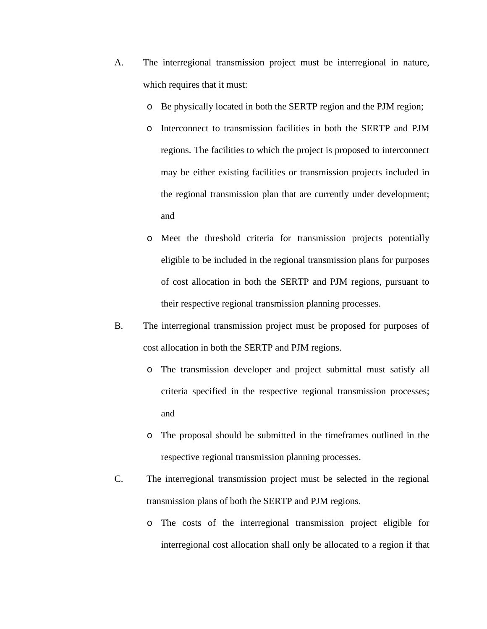- A. The interregional transmission project must be interregional in nature, which requires that it must:
	- o Be physically located in both the SERTP region and the PJM region;
	- o Interconnect to transmission facilities in both the SERTP and PJM regions. The facilities to which the project is proposed to interconnect may be either existing facilities or transmission projects included in the regional transmission plan that are currently under development; and
	- o Meet the threshold criteria for transmission projects potentially eligible to be included in the regional transmission plans for purposes of cost allocation in both the SERTP and PJM regions, pursuant to their respective regional transmission planning processes.
- B. The interregional transmission project must be proposed for purposes of cost allocation in both the SERTP and PJM regions.
	- o The transmission developer and project submittal must satisfy all criteria specified in the respective regional transmission processes; and
	- o The proposal should be submitted in the timeframes outlined in the respective regional transmission planning processes.
- C. The interregional transmission project must be selected in the regional transmission plans of both the SERTP and PJM regions.
	- o The costs of the interregional transmission project eligible for interregional cost allocation shall only be allocated to a region if that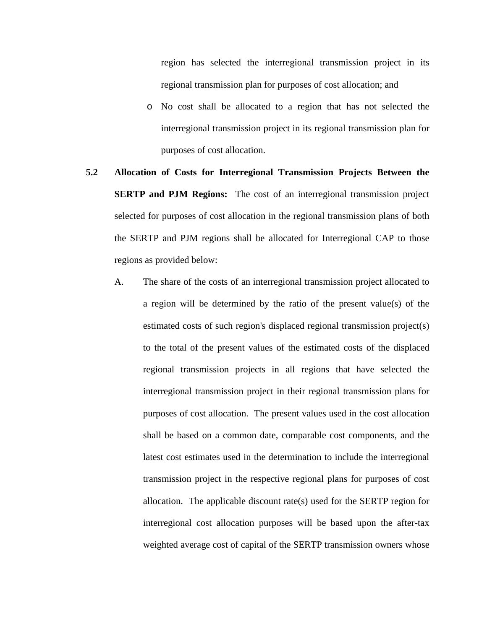region has selected the interregional transmission project in its regional transmission plan for purposes of cost allocation; and

- o No cost shall be allocated to a region that has not selected the interregional transmission project in its regional transmission plan for purposes of cost allocation.
- **5.2 Allocation of Costs for Interregional Transmission Projects Between the SERTP and PJM Regions:** The cost of an interregional transmission project selected for purposes of cost allocation in the regional transmission plans of both the SERTP and PJM regions shall be allocated for Interregional CAP to those regions as provided below:
	- A. The share of the costs of an interregional transmission project allocated to a region will be determined by the ratio of the present value(s) of the estimated costs of such region's displaced regional transmission project(s) to the total of the present values of the estimated costs of the displaced regional transmission projects in all regions that have selected the interregional transmission project in their regional transmission plans for purposes of cost allocation. The present values used in the cost allocation shall be based on a common date, comparable cost components, and the latest cost estimates used in the determination to include the interregional transmission project in the respective regional plans for purposes of cost allocation. The applicable discount rate(s) used for the SERTP region for interregional cost allocation purposes will be based upon the after-tax weighted average cost of capital of the SERTP transmission owners whose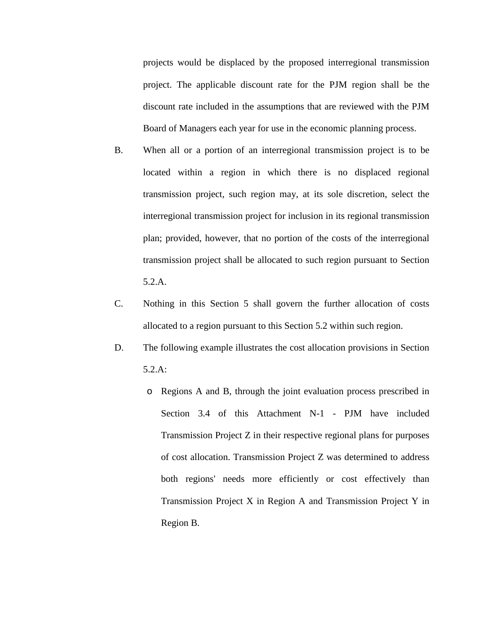projects would be displaced by the proposed interregional transmission project. The applicable discount rate for the PJM region shall be the discount rate included in the assumptions that are reviewed with the PJM Board of Managers each year for use in the economic planning process.

- B. When all or a portion of an interregional transmission project is to be located within a region in which there is no displaced regional transmission project, such region may, at its sole discretion, select the interregional transmission project for inclusion in its regional transmission plan; provided, however, that no portion of the costs of the interregional transmission project shall be allocated to such region pursuant to Section 5.2.A.
- C. Nothing in this Section 5 shall govern the further allocation of costs allocated to a region pursuant to this Section 5.2 within such region.
- D. The following example illustrates the cost allocation provisions in Section 5.2.A:
	- o Regions A and B, through the joint evaluation process prescribed in Section 3.4 of this Attachment N-1 - PJM have included Transmission Project Z in their respective regional plans for purposes of cost allocation. Transmission Project Z was determined to address both regions' needs more efficiently or cost effectively than Transmission Project X in Region A and Transmission Project Y in Region B.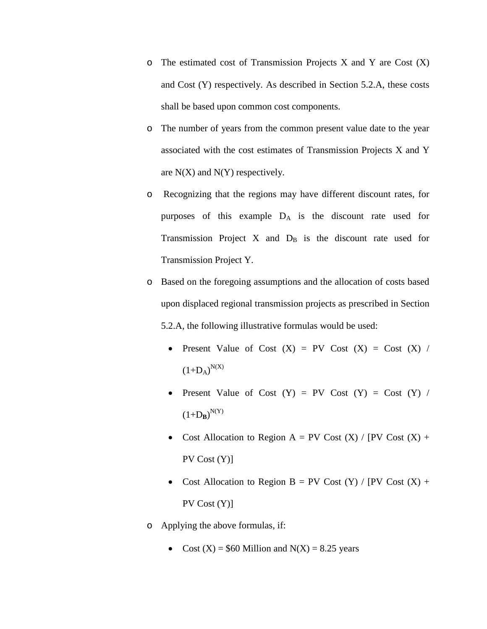- $\circ$  The estimated cost of Transmission Projects X and Y are Cost  $(X)$ and Cost (Y) respectively. As described in Section 5.2.A, these costs shall be based upon common cost components.
- o The number of years from the common present value date to the year associated with the cost estimates of Transmission Projects X and Y are  $N(X)$  and  $N(Y)$  respectively.
- o Recognizing that the regions may have different discount rates, for purposes of this example  $D_A$  is the discount rate used for Transmission Project X and  $D_B$  is the discount rate used for Transmission Project Y.
- o Based on the foregoing assumptions and the allocation of costs based upon displaced regional transmission projects as prescribed in Section 5.2.A, the following illustrative formulas would be used:
	- Present Value of Cost  $(X)$  = PV Cost  $(X)$  = Cost  $(X)$  /  $(1+D_A)^{N(X)}$
	- Present Value of Cost  $(Y) = PV$  Cost  $(Y) = Cost (Y) /$  $(1+D_B)^{N(Y)}$
	- Cost Allocation to Region A = PV Cost  $(X)$  / [PV Cost  $(X)$  + PV Cost (Y)]
	- Cost Allocation to Region B = PV Cost  $(Y)$  / [PV Cost  $(X)$  + PV Cost (Y)]
- o Applying the above formulas, if:
	- Cost  $(X) = $60$  Million and  $N(X) = 8.25$  years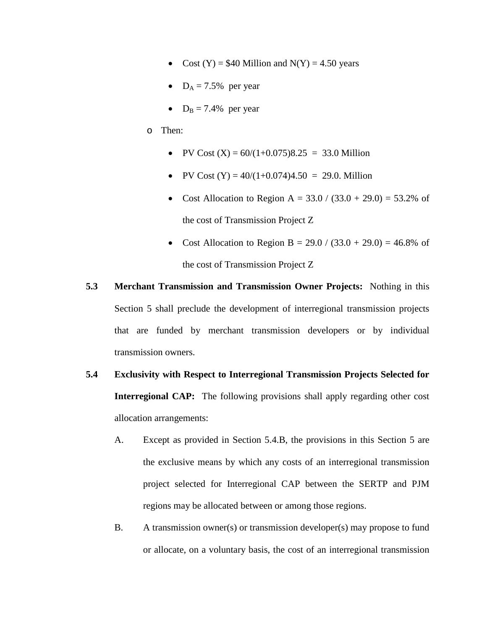- Cost  $(Y) = $40$  Million and  $N(Y) = 4.50$  years
- $D_A = 7.5\%$  per year
- $D_B = 7.4\%$  per year
- o Then:
	- PV Cost  $(X) = 60/(1+0.075)8.25 = 33.0$  Million
	- PV Cost  $(Y) = 40/(1+0.074)4.50 = 29.0$ . Million
	- Cost Allocation to Region A =  $33.0 / (33.0 + 29.0) = 53.2\%$  of the cost of Transmission Project Z
	- Cost Allocation to Region B =  $29.0 / (33.0 + 29.0) = 46.8\%$  of the cost of Transmission Project Z
- **5.3 Merchant Transmission and Transmission Owner Projects:** Nothing in this Section 5 shall preclude the development of interregional transmission projects that are funded by merchant transmission developers or by individual transmission owners.
- **5.4 Exclusivity with Respect to Interregional Transmission Projects Selected for Interregional CAP:** The following provisions shall apply regarding other cost allocation arrangements:
	- A. Except as provided in Section 5.4.B, the provisions in this Section 5 are the exclusive means by which any costs of an interregional transmission project selected for Interregional CAP between the SERTP and PJM regions may be allocated between or among those regions.
	- B. A transmission owner(s) or transmission developer(s) may propose to fund or allocate, on a voluntary basis, the cost of an interregional transmission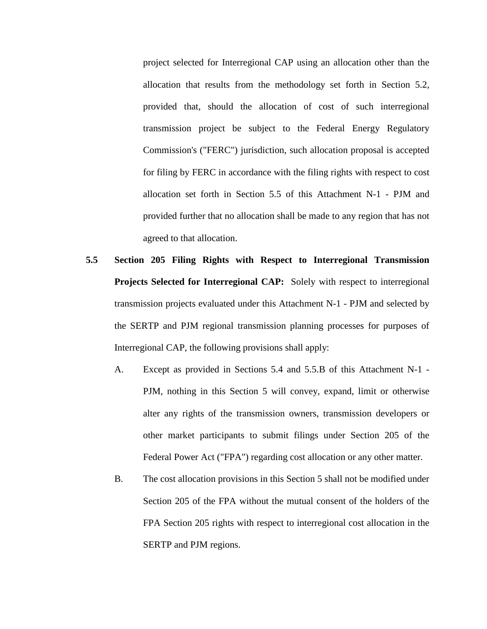project selected for Interregional CAP using an allocation other than the allocation that results from the methodology set forth in Section 5.2, provided that, should the allocation of cost of such interregional transmission project be subject to the Federal Energy Regulatory Commission's ("FERC") jurisdiction, such allocation proposal is accepted for filing by FERC in accordance with the filing rights with respect to cost allocation set forth in Section 5.5 of this Attachment N-1 - PJM and provided further that no allocation shall be made to any region that has not agreed to that allocation.

- **5.5 Section 205 Filing Rights with Respect to Interregional Transmission Projects Selected for Interregional CAP:** Solely with respect to interregional transmission projects evaluated under this Attachment N-1 - PJM and selected by the SERTP and PJM regional transmission planning processes for purposes of Interregional CAP, the following provisions shall apply:
	- A. Except as provided in Sections 5.4 and 5.5.B of this Attachment N-1 PJM, nothing in this Section 5 will convey, expand, limit or otherwise alter any rights of the transmission owners, transmission developers or other market participants to submit filings under Section 205 of the Federal Power Act ("FPA") regarding cost allocation or any other matter.
	- B. The cost allocation provisions in this Section 5 shall not be modified under Section 205 of the FPA without the mutual consent of the holders of the FPA Section 205 rights with respect to interregional cost allocation in the SERTP and PJM regions.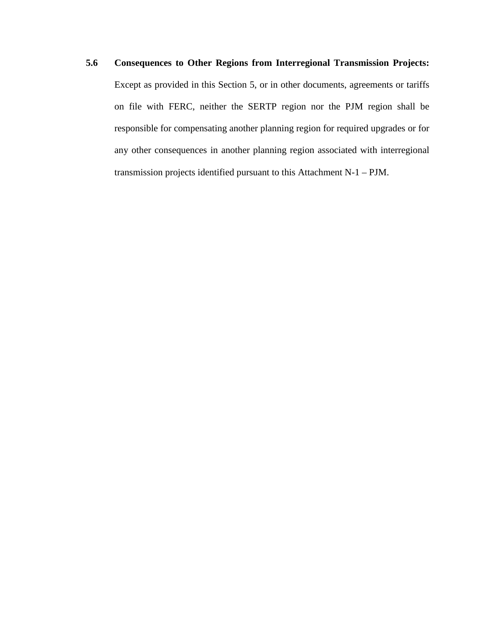**5.6 Consequences to Other Regions from Interregional Transmission Projects:** Except as provided in this Section 5, or in other documents, agreements or tariffs on file with FERC, neither the SERTP region nor the PJM region shall be responsible for compensating another planning region for required upgrades or for any other consequences in another planning region associated with interregional transmission projects identified pursuant to this Attachment N-1 – PJM.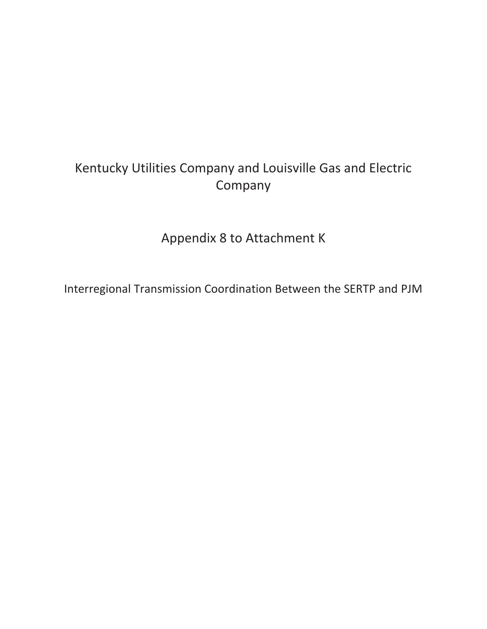# Kentucky Utilities Company and Louisville Gas and Electric Company

Appendix 8 to Attachment K

Interregional Transmission Coordination Between the SERTP and PJM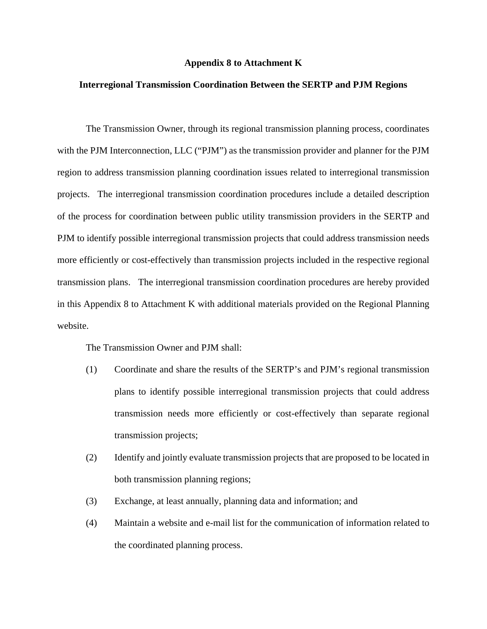#### **Appendix 8 to Attachment K**

### **Interregional Transmission Coordination Between the SERTP and PJM Regions**

The Transmission Owner, through its regional transmission planning process, coordinates with the PJM Interconnection, LLC ("PJM") as the transmission provider and planner for the PJM region to address transmission planning coordination issues related to interregional transmission projects. The interregional transmission coordination procedures include a detailed description of the process for coordination between public utility transmission providers in the SERTP and PJM to identify possible interregional transmission projects that could address transmission needs more efficiently or cost-effectively than transmission projects included in the respective regional transmission plans. The interregional transmission coordination procedures are hereby provided in this Appendix 8 to Attachment K with additional materials provided on the Regional Planning website.

The Transmission Owner and PJM shall:

- (1) Coordinate and share the results of the SERTP's and PJM's regional transmission plans to identify possible interregional transmission projects that could address transmission needs more efficiently or cost-effectively than separate regional transmission projects;
- (2) Identify and jointly evaluate transmission projects that are proposed to be located in both transmission planning regions;
- (3) Exchange, at least annually, planning data and information; and
- (4) Maintain a website and e-mail list for the communication of information related to the coordinated planning process.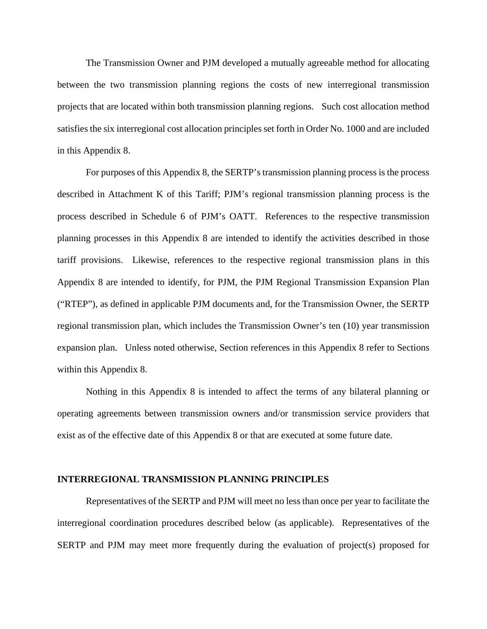The Transmission Owner and PJM developed a mutually agreeable method for allocating between the two transmission planning regions the costs of new interregional transmission projects that are located within both transmission planning regions. Such cost allocation method satisfies the six interregional cost allocation principles set forth in Order No. 1000 and are included in this Appendix 8.

For purposes of this Appendix 8, the SERTP's transmission planning process is the process described in Attachment K of this Tariff; PJM's regional transmission planning process is the process described in Schedule 6 of PJM's OATT. References to the respective transmission planning processes in this Appendix 8 are intended to identify the activities described in those tariff provisions. Likewise, references to the respective regional transmission plans in this Appendix 8 are intended to identify, for PJM, the PJM Regional Transmission Expansion Plan ("RTEP"), as defined in applicable PJM documents and, for the Transmission Owner, the SERTP regional transmission plan, which includes the Transmission Owner's ten (10) year transmission expansion plan. Unless noted otherwise, Section references in this Appendix 8 refer to Sections within this Appendix 8.

Nothing in this Appendix 8 is intended to affect the terms of any bilateral planning or operating agreements between transmission owners and/or transmission service providers that exist as of the effective date of this Appendix 8 or that are executed at some future date.

#### **INTERREGIONAL TRANSMISSION PLANNING PRINCIPLES**

Representatives of the SERTP and PJM will meet no less than once per year to facilitate the interregional coordination procedures described below (as applicable). Representatives of the SERTP and PJM may meet more frequently during the evaluation of project(s) proposed for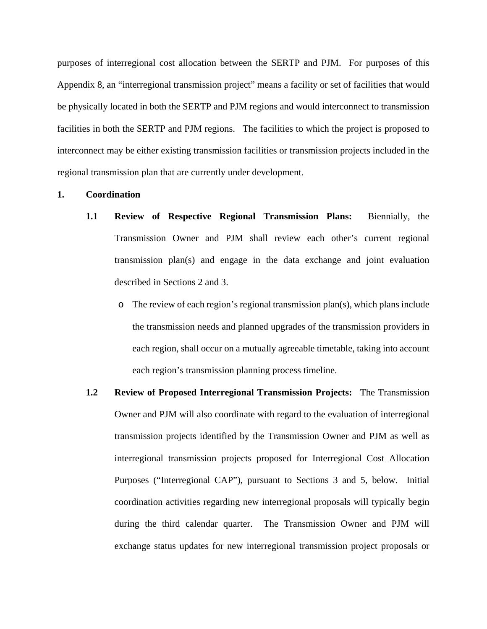purposes of interregional cost allocation between the SERTP and PJM. For purposes of this Appendix 8, an "interregional transmission project" means a facility or set of facilities that would be physically located in both the SERTP and PJM regions and would interconnect to transmission facilities in both the SERTP and PJM regions. The facilities to which the project is proposed to interconnect may be either existing transmission facilities or transmission projects included in the regional transmission plan that are currently under development.

# **1. Coordination**

- **1.1 Review of Respective Regional Transmission Plans:** Biennially, the Transmission Owner and PJM shall review each other's current regional transmission plan(s) and engage in the data exchange and joint evaluation described in Sections 2 and 3.
	- o The review of each region's regional transmission plan(s), which plans include the transmission needs and planned upgrades of the transmission providers in each region, shall occur on a mutually agreeable timetable, taking into account each region's transmission planning process timeline.
- **1.2 Review of Proposed Interregional Transmission Projects:** The Transmission Owner and PJM will also coordinate with regard to the evaluation of interregional transmission projects identified by the Transmission Owner and PJM as well as interregional transmission projects proposed for Interregional Cost Allocation Purposes ("Interregional CAP"), pursuant to Sections 3 and 5, below. Initial coordination activities regarding new interregional proposals will typically begin during the third calendar quarter. The Transmission Owner and PJM will exchange status updates for new interregional transmission project proposals or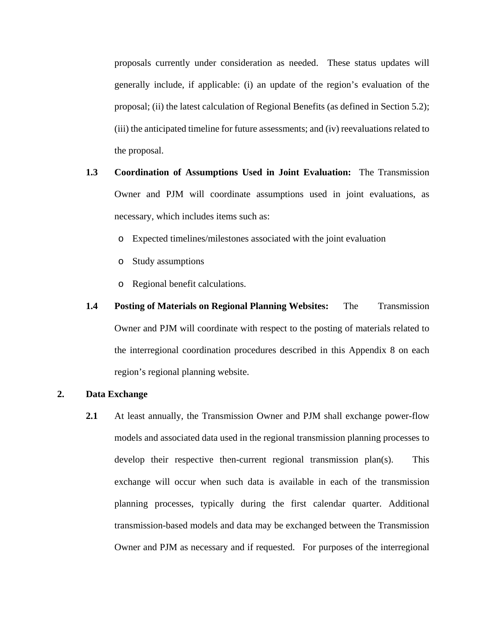proposals currently under consideration as needed. These status updates will generally include, if applicable: (i) an update of the region's evaluation of the proposal; (ii) the latest calculation of Regional Benefits (as defined in Section 5.2); (iii) the anticipated timeline for future assessments; and (iv) reevaluations related to the proposal.

- **1.3 Coordination of Assumptions Used in Joint Evaluation:** The Transmission Owner and PJM will coordinate assumptions used in joint evaluations, as necessary, which includes items such as:
	- o Expected timelines/milestones associated with the joint evaluation
	- o Study assumptions
	- o Regional benefit calculations.
- **1.4 Posting of Materials on Regional Planning Websites:** The Transmission Owner and PJM will coordinate with respect to the posting of materials related to the interregional coordination procedures described in this Appendix 8 on each region's regional planning website.

# **2. Data Exchange**

**2.1** At least annually, the Transmission Owner and PJM shall exchange power-flow models and associated data used in the regional transmission planning processes to develop their respective then-current regional transmission plan(s). This exchange will occur when such data is available in each of the transmission planning processes, typically during the first calendar quarter. Additional transmission-based models and data may be exchanged between the Transmission Owner and PJM as necessary and if requested. For purposes of the interregional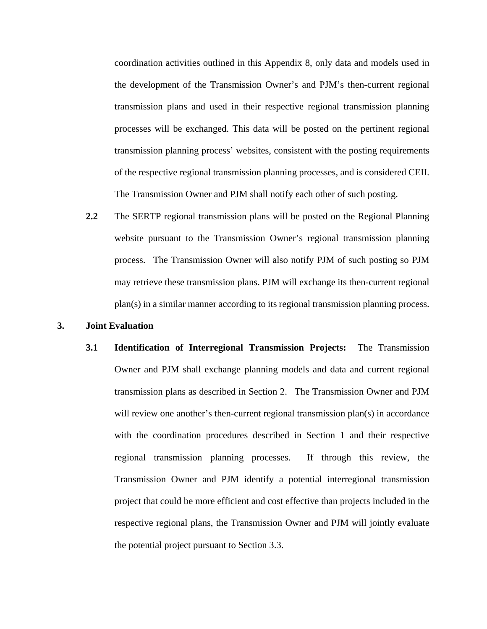coordination activities outlined in this Appendix 8, only data and models used in the development of the Transmission Owner's and PJM's then-current regional transmission plans and used in their respective regional transmission planning processes will be exchanged. This data will be posted on the pertinent regional transmission planning process' websites, consistent with the posting requirements of the respective regional transmission planning processes, and is considered CEII. The Transmission Owner and PJM shall notify each other of such posting.

**2.2** The SERTP regional transmission plans will be posted on the Regional Planning website pursuant to the Transmission Owner's regional transmission planning process. The Transmission Owner will also notify PJM of such posting so PJM may retrieve these transmission plans. PJM will exchange its then-current regional plan(s) in a similar manner according to its regional transmission planning process.

#### **3. Joint Evaluation**

**3.1 Identification of Interregional Transmission Projects:** The Transmission Owner and PJM shall exchange planning models and data and current regional transmission plans as described in Section 2. The Transmission Owner and PJM will review one another's then-current regional transmission plan(s) in accordance with the coordination procedures described in Section 1 and their respective regional transmission planning processes. If through this review, the Transmission Owner and PJM identify a potential interregional transmission project that could be more efficient and cost effective than projects included in the respective regional plans, the Transmission Owner and PJM will jointly evaluate the potential project pursuant to Section 3.3.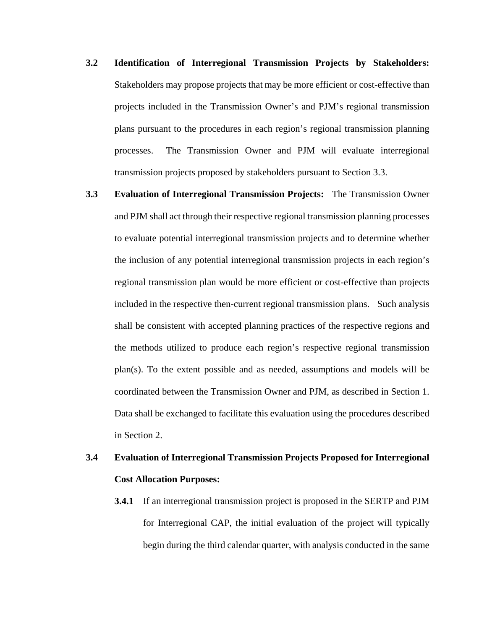- **3.2 Identification of Interregional Transmission Projects by Stakeholders:**  Stakeholders may propose projects that may be more efficient or cost-effective than projects included in the Transmission Owner's and PJM's regional transmission plans pursuant to the procedures in each region's regional transmission planning processes. The Transmission Owner and PJM will evaluate interregional transmission projects proposed by stakeholders pursuant to Section 3.3.
- **3.3 Evaluation of Interregional Transmission Projects:** The Transmission Owner and PJM shall act through their respective regional transmission planning processes to evaluate potential interregional transmission projects and to determine whether the inclusion of any potential interregional transmission projects in each region's regional transmission plan would be more efficient or cost-effective than projects included in the respective then-current regional transmission plans. Such analysis shall be consistent with accepted planning practices of the respective regions and the methods utilized to produce each region's respective regional transmission plan(s). To the extent possible and as needed, assumptions and models will be coordinated between the Transmission Owner and PJM, as described in Section 1. Data shall be exchanged to facilitate this evaluation using the procedures described in Section 2.

# **3.4 Evaluation of Interregional Transmission Projects Proposed for Interregional Cost Allocation Purposes:**

**3.4.1** If an interregional transmission project is proposed in the SERTP and PJM for Interregional CAP, the initial evaluation of the project will typically begin during the third calendar quarter, with analysis conducted in the same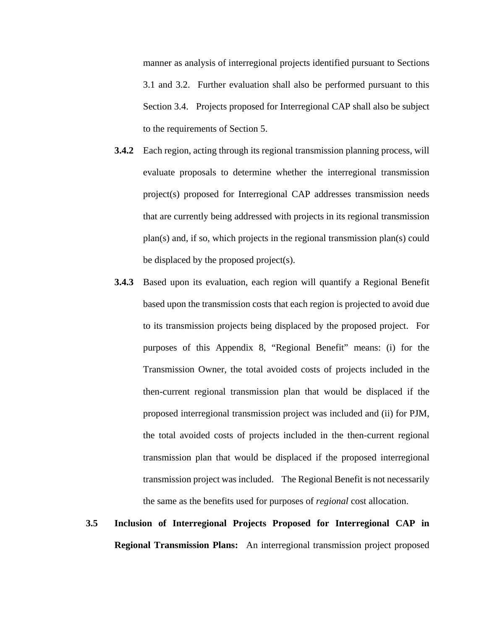manner as analysis of interregional projects identified pursuant to Sections 3.1 and 3.2. Further evaluation shall also be performed pursuant to this Section 3.4. Projects proposed for Interregional CAP shall also be subject to the requirements of Section 5.

- **3.4.2** Each region, acting through its regional transmission planning process, will evaluate proposals to determine whether the interregional transmission project(s) proposed for Interregional CAP addresses transmission needs that are currently being addressed with projects in its regional transmission plan(s) and, if so, which projects in the regional transmission plan(s) could be displaced by the proposed project(s).
- **3.4.3** Based upon its evaluation, each region will quantify a Regional Benefit based upon the transmission costs that each region is projected to avoid due to its transmission projects being displaced by the proposed project. For purposes of this Appendix 8, "Regional Benefit" means: (i) for the Transmission Owner, the total avoided costs of projects included in the then-current regional transmission plan that would be displaced if the proposed interregional transmission project was included and (ii) for PJM, the total avoided costs of projects included in the then-current regional transmission plan that would be displaced if the proposed interregional transmission project was included. The Regional Benefit is not necessarily the same as the benefits used for purposes of *regional* cost allocation.
- **3.5 Inclusion of Interregional Projects Proposed for Interregional CAP in Regional Transmission Plans:** An interregional transmission project proposed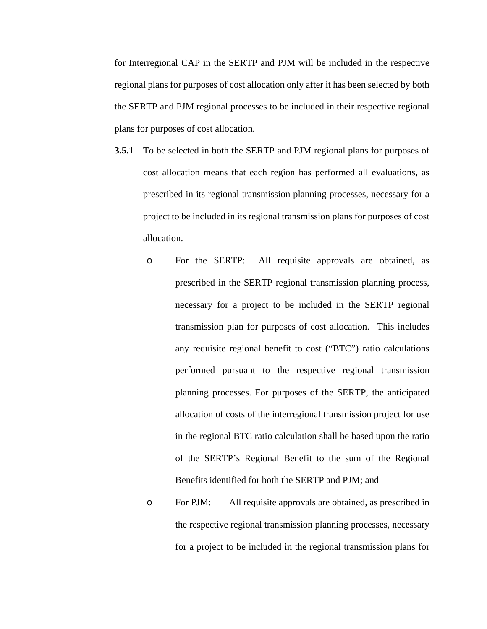for Interregional CAP in the SERTP and PJM will be included in the respective regional plans for purposes of cost allocation only after it has been selected by both the SERTP and PJM regional processes to be included in their respective regional plans for purposes of cost allocation.

- **3.5.1** To be selected in both the SERTP and PJM regional plans for purposes of cost allocation means that each region has performed all evaluations, as prescribed in its regional transmission planning processes, necessary for a project to be included in its regional transmission plans for purposes of cost allocation.
	- o For the SERTP: All requisite approvals are obtained, as prescribed in the SERTP regional transmission planning process, necessary for a project to be included in the SERTP regional transmission plan for purposes of cost allocation. This includes any requisite regional benefit to cost ("BTC") ratio calculations performed pursuant to the respective regional transmission planning processes. For purposes of the SERTP, the anticipated allocation of costs of the interregional transmission project for use in the regional BTC ratio calculation shall be based upon the ratio of the SERTP's Regional Benefit to the sum of the Regional Benefits identified for both the SERTP and PJM; and
	- o For PJM: All requisite approvals are obtained, as prescribed in the respective regional transmission planning processes, necessary for a project to be included in the regional transmission plans for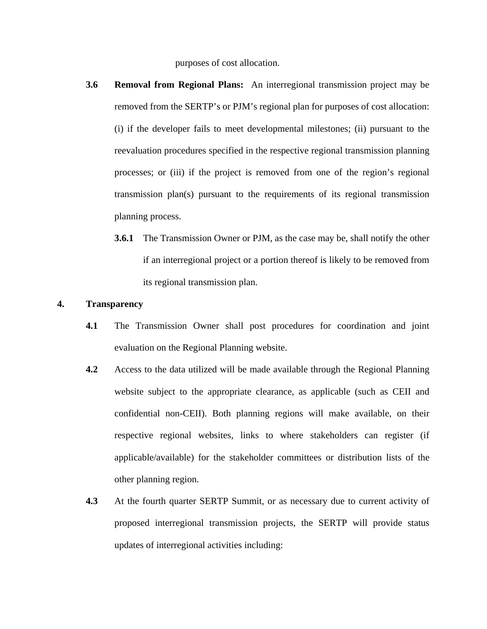purposes of cost allocation.

- **3.6 Removal from Regional Plans:** An interregional transmission project may be removed from the SERTP's or PJM's regional plan for purposes of cost allocation: (i) if the developer fails to meet developmental milestones; (ii) pursuant to the reevaluation procedures specified in the respective regional transmission planning processes; or (iii) if the project is removed from one of the region's regional transmission plan(s) pursuant to the requirements of its regional transmission planning process.
	- **3.6.1** The Transmission Owner or PJM, as the case may be, shall notify the other if an interregional project or a portion thereof is likely to be removed from its regional transmission plan.

# **4. Transparency**

- **4.1** The Transmission Owner shall post procedures for coordination and joint evaluation on the Regional Planning website.
- **4.2** Access to the data utilized will be made available through the Regional Planning website subject to the appropriate clearance, as applicable (such as CEII and confidential non-CEII). Both planning regions will make available, on their respective regional websites, links to where stakeholders can register (if applicable/available) for the stakeholder committees or distribution lists of the other planning region.
- **4.3** At the fourth quarter SERTP Summit, or as necessary due to current activity of proposed interregional transmission projects, the SERTP will provide status updates of interregional activities including: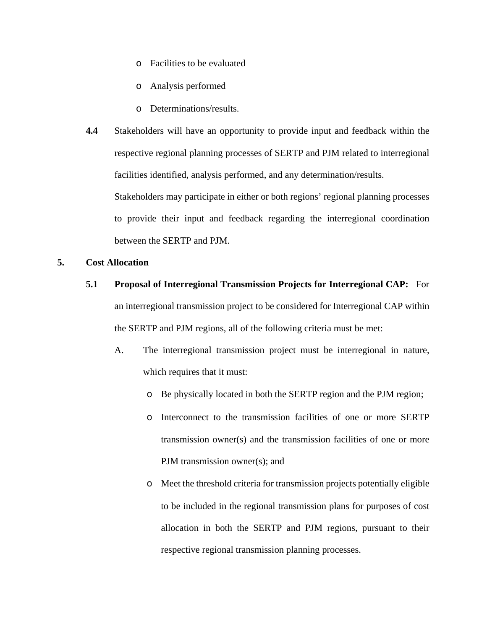- o Facilities to be evaluated
- o Analysis performed
- o Determinations/results.
- **4.4** Stakeholders will have an opportunity to provide input and feedback within the respective regional planning processes of SERTP and PJM related to interregional facilities identified, analysis performed, and any determination/results. Stakeholders may participate in either or both regions' regional planning processes

to provide their input and feedback regarding the interregional coordination between the SERTP and PJM.

# **5. Cost Allocation**

- **5.1 Proposal of Interregional Transmission Projects for Interregional CAP:** For an interregional transmission project to be considered for Interregional CAP within the SERTP and PJM regions, all of the following criteria must be met:
	- A. The interregional transmission project must be interregional in nature, which requires that it must:
		- o Be physically located in both the SERTP region and the PJM region;
		- o Interconnect to the transmission facilities of one or more SERTP transmission owner(s) and the transmission facilities of one or more PJM transmission owner(s); and
		- o Meet the threshold criteria for transmission projects potentially eligible to be included in the regional transmission plans for purposes of cost allocation in both the SERTP and PJM regions, pursuant to their respective regional transmission planning processes.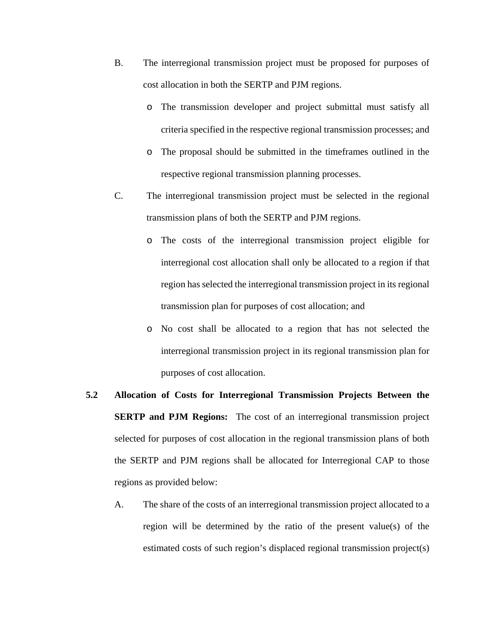- B. The interregional transmission project must be proposed for purposes of cost allocation in both the SERTP and PJM regions.
	- o The transmission developer and project submittal must satisfy all criteria specified in the respective regional transmission processes; and
	- o The proposal should be submitted in the timeframes outlined in the respective regional transmission planning processes.
- C. The interregional transmission project must be selected in the regional transmission plans of both the SERTP and PJM regions.
	- o The costs of the interregional transmission project eligible for interregional cost allocation shall only be allocated to a region if that region has selected the interregional transmission project in its regional transmission plan for purposes of cost allocation; and
	- o No cost shall be allocated to a region that has not selected the interregional transmission project in its regional transmission plan for purposes of cost allocation.
- **5.2 Allocation of Costs for Interregional Transmission Projects Between the SERTP and PJM Regions:** The cost of an interregional transmission project selected for purposes of cost allocation in the regional transmission plans of both the SERTP and PJM regions shall be allocated for Interregional CAP to those regions as provided below:
	- A. The share of the costs of an interregional transmission project allocated to a region will be determined by the ratio of the present value(s) of the estimated costs of such region's displaced regional transmission project(s)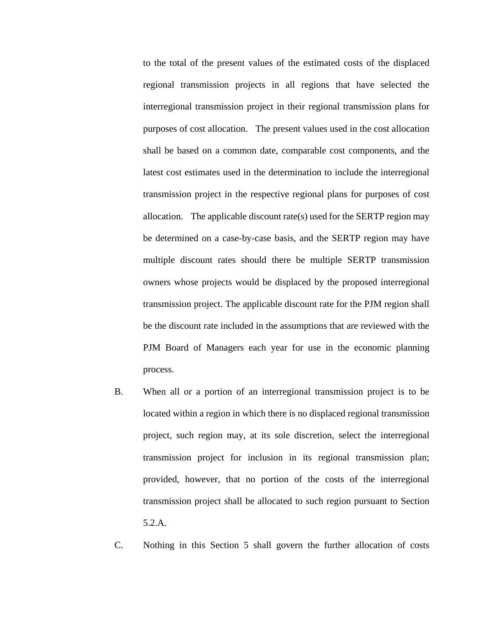to the total of the present values of the estimated costs of the displaced regional transmission projects in all regions that have selected the interregional transmission project in their regional transmission plans for purposes of cost allocation. The present values used in the cost allocation shall be based on a common date, comparable cost components, and the latest cost estimates used in the determination to include the interregional transmission project in the respective regional plans for purposes of cost allocation. The applicable discount rate(s) used for the SERTP region may be determined on a case-by-case basis, and the SERTP region may have multiple discount rates should there be multiple SERTP transmission owners whose projects would be displaced by the proposed interregional transmission project. The applicable discount rate for the PJM region shall be the discount rate included in the assumptions that are reviewed with the PJM Board of Managers each year for use in the economic planning process.

- B. When all or a portion of an interregional transmission project is to be located within a region in which there is no displaced regional transmission project, such region may, at its sole discretion, select the interregional transmission project for inclusion in its regional transmission plan; provided, however, that no portion of the costs of the interregional transmission project shall be allocated to such region pursuant to Section 5.2.A.
- C. Nothing in this Section 5 shall govern the further allocation of costs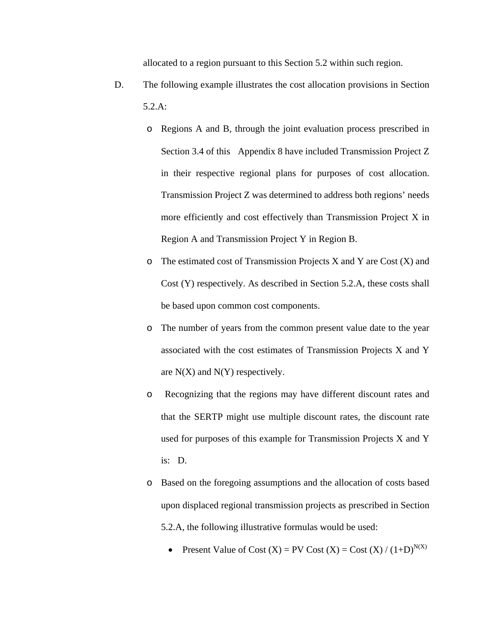allocated to a region pursuant to this Section 5.2 within such region.

- D. The following example illustrates the cost allocation provisions in Section 5.2.A:
	- o Regions A and B, through the joint evaluation process prescribed in Section 3.4 of this Appendix 8 have included Transmission Project Z in their respective regional plans for purposes of cost allocation. Transmission Project Z was determined to address both regions' needs more efficiently and cost effectively than Transmission Project X in Region A and Transmission Project Y in Region B.
	- $\circ$  The estimated cost of Transmission Projects X and Y are Cost (X) and Cost (Y) respectively. As described in Section 5.2.A, these costs shall be based upon common cost components.
	- o The number of years from the common present value date to the year associated with the cost estimates of Transmission Projects X and Y are  $N(X)$  and  $N(Y)$  respectively.
	- o Recognizing that the regions may have different discount rates and that the SERTP might use multiple discount rates, the discount rate used for purposes of this example for Transmission Projects X and Y is: D.
	- o Based on the foregoing assumptions and the allocation of costs based upon displaced regional transmission projects as prescribed in Section 5.2.A, the following illustrative formulas would be used:
		- Present Value of Cost  $(X)$  = PV Cost  $(X)$  = Cost  $(X) / (1+D)^{N(X)}$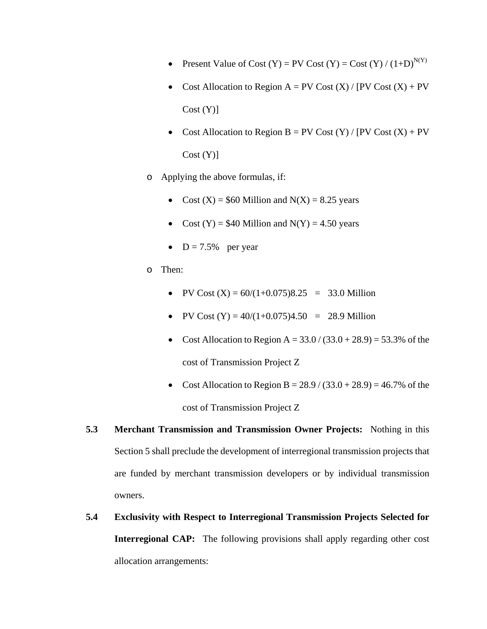- Present Value of Cost  $(Y) = PV$  Cost  $(Y) = Cost (Y) / (1+D)^{N(Y)}$
- Cost Allocation to Region  $A = PV$  Cost  $(X) / [PV$  Cost  $(X) + PV$  $Cost(Y)$ ]
- Cost Allocation to Region  $B = PV$  Cost  $(Y) / [PV$  Cost  $(X) + PV$  $Cost(Y)$ ]
- o Applying the above formulas, if:
	- Cost  $(X) = $60$  Million and  $N(X) = 8.25$  years
	- Cost  $(Y) = $40$  Million and  $N(Y) = 4.50$  years
	- $D = 7.5%$  per year
- o Then:
	- PV Cost  $(X) = 60/(1+0.075)8.25 = 33.0$  Million
	- PV Cost  $(Y) = 40/(1+0.075)4.50 = 28.9$  Million
	- Cost Allocation to Region A =  $33.0 / (33.0 + 28.9) = 53.3\%$  of the cost of Transmission Project Z
	- Cost Allocation to Region B =  $28.9 / (33.0 + 28.9) = 46.7\%$  of the cost of Transmission Project Z
- **5.3 Merchant Transmission and Transmission Owner Projects:** Nothing in this Section 5 shall preclude the development of interregional transmission projects that are funded by merchant transmission developers or by individual transmission owners.
- **5.4 Exclusivity with Respect to Interregional Transmission Projects Selected for Interregional CAP:** The following provisions shall apply regarding other cost allocation arrangements: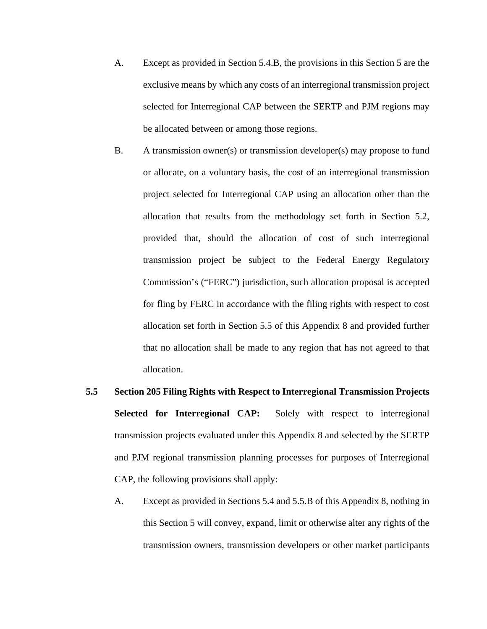- A. Except as provided in Section 5.4.B, the provisions in this Section 5 are the exclusive means by which any costs of an interregional transmission project selected for Interregional CAP between the SERTP and PJM regions may be allocated between or among those regions.
- B. A transmission owner(s) or transmission developer(s) may propose to fund or allocate, on a voluntary basis, the cost of an interregional transmission project selected for Interregional CAP using an allocation other than the allocation that results from the methodology set forth in Section 5.2, provided that, should the allocation of cost of such interregional transmission project be subject to the Federal Energy Regulatory Commission's ("FERC") jurisdiction, such allocation proposal is accepted for fling by FERC in accordance with the filing rights with respect to cost allocation set forth in Section 5.5 of this Appendix 8 and provided further that no allocation shall be made to any region that has not agreed to that allocation.
- **5.5 Section 205 Filing Rights with Respect to Interregional Transmission Projects Selected for Interregional CAP:** Solely with respect to interregional transmission projects evaluated under this Appendix 8 and selected by the SERTP and PJM regional transmission planning processes for purposes of Interregional CAP, the following provisions shall apply:
	- A. Except as provided in Sections 5.4 and 5.5.B of this Appendix 8, nothing in this Section 5 will convey, expand, limit or otherwise alter any rights of the transmission owners, transmission developers or other market participants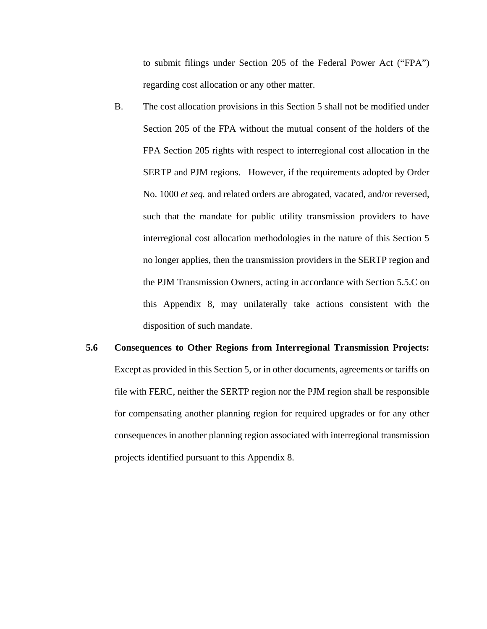to submit filings under Section 205 of the Federal Power Act ("FPA") regarding cost allocation or any other matter.

- B. The cost allocation provisions in this Section 5 shall not be modified under Section 205 of the FPA without the mutual consent of the holders of the FPA Section 205 rights with respect to interregional cost allocation in the SERTP and PJM regions. However, if the requirements adopted by Order No. 1000 *et seq.* and related orders are abrogated, vacated, and/or reversed, such that the mandate for public utility transmission providers to have interregional cost allocation methodologies in the nature of this Section 5 no longer applies, then the transmission providers in the SERTP region and the PJM Transmission Owners, acting in accordance with Section 5.5.C on this Appendix 8, may unilaterally take actions consistent with the disposition of such mandate.
- **5.6 Consequences to Other Regions from Interregional Transmission Projects:** Except as provided in this Section 5, or in other documents, agreements or tariffs on file with FERC, neither the SERTP region nor the PJM region shall be responsible for compensating another planning region for required upgrades or for any other consequences in another planning region associated with interregional transmission projects identified pursuant to this Appendix 8.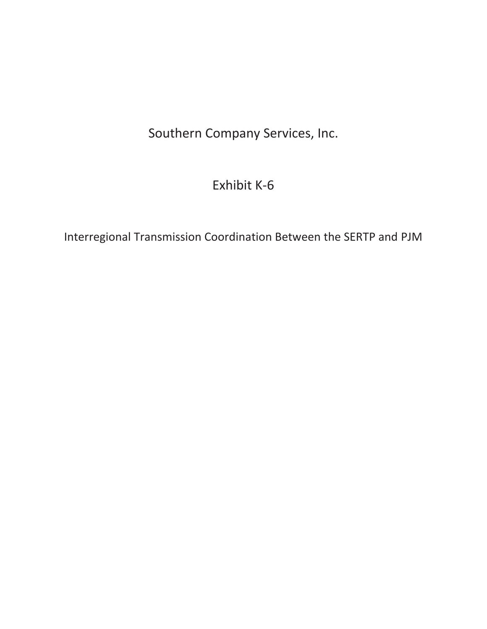Southern Company Services, Inc.

# Exhibit K-6

Interregional Transmission Coordination Between the SERTP and PJM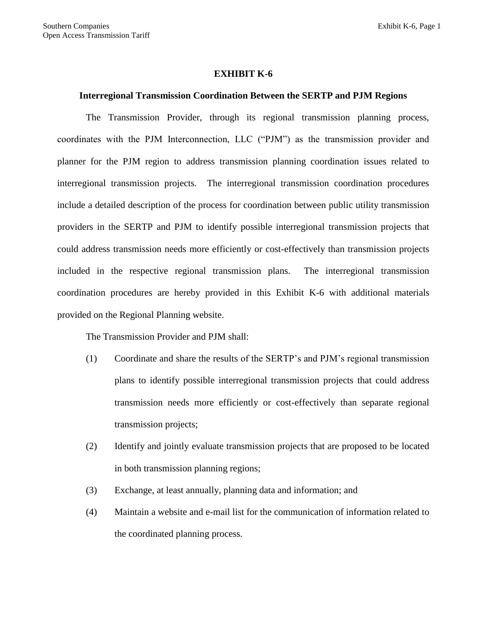#### **EXHIBIT K-6**

# **Interregional Transmission Coordination Between the SERTP and PJM Regions**

The Transmission Provider, through its regional transmission planning process, coordinates with the PJM Interconnection, LLC ("PJM") as the transmission provider and planner for the PJM region to address transmission planning coordination issues related to interregional transmission projects. The interregional transmission coordination procedures include a detailed description of the process for coordination between public utility transmission providers in the SERTP and PJM to identify possible interregional transmission projects that could address transmission needs more efficiently or cost-effectively than transmission projects included in the respective regional transmission plans. The interregional transmission coordination procedures are hereby provided in this Exhibit K-6 with additional materials provided on the Regional Planning website.

The Transmission Provider and PJM shall:

- (1) Coordinate and share the results of the SERTP's and PJM's regional transmission plans to identify possible interregional transmission projects that could address transmission needs more efficiently or cost-effectively than separate regional transmission projects;
- (2) Identify and jointly evaluate transmission projects that are proposed to be located in both transmission planning regions;
- (3) Exchange, at least annually, planning data and information; and
- (4) Maintain a website and e-mail list for the communication of information related to the coordinated planning process.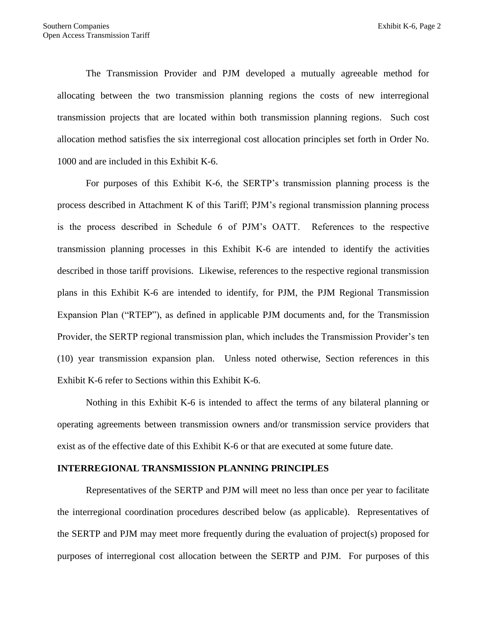The Transmission Provider and PJM developed a mutually agreeable method for allocating between the two transmission planning regions the costs of new interregional transmission projects that are located within both transmission planning regions. Such cost allocation method satisfies the six interregional cost allocation principles set forth in Order No. 1000 and are included in this Exhibit K-6.

For purposes of this Exhibit K-6, the SERTP's transmission planning process is the process described in Attachment K of this Tariff; PJM's regional transmission planning process is the process described in Schedule 6 of PJM's OATT. References to the respective transmission planning processes in this Exhibit K-6 are intended to identify the activities described in those tariff provisions. Likewise, references to the respective regional transmission plans in this Exhibit K-6 are intended to identify, for PJM, the PJM Regional Transmission Expansion Plan ("RTEP"), as defined in applicable PJM documents and, for the Transmission Provider, the SERTP regional transmission plan, which includes the Transmission Provider's ten (10) year transmission expansion plan. Unless noted otherwise, Section references in this Exhibit K-6 refer to Sections within this Exhibit K-6.

Nothing in this Exhibit K-6 is intended to affect the terms of any bilateral planning or operating agreements between transmission owners and/or transmission service providers that exist as of the effective date of this Exhibit K-6 or that are executed at some future date.

#### **INTERREGIONAL TRANSMISSION PLANNING PRINCIPLES**

Representatives of the SERTP and PJM will meet no less than once per year to facilitate the interregional coordination procedures described below (as applicable). Representatives of the SERTP and PJM may meet more frequently during the evaluation of project(s) proposed for purposes of interregional cost allocation between the SERTP and PJM. For purposes of this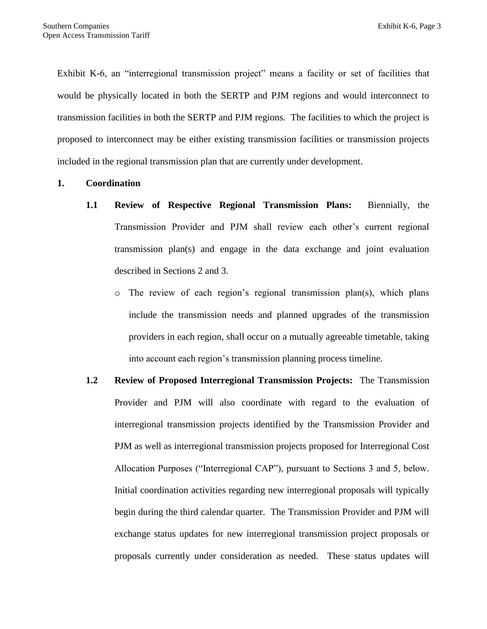Exhibit K-6, an "interregional transmission project" means a facility or set of facilities that would be physically located in both the SERTP and PJM regions and would interconnect to transmission facilities in both the SERTP and PJM regions. The facilities to which the project is proposed to interconnect may be either existing transmission facilities or transmission projects included in the regional transmission plan that are currently under development.

# **1. Coordination**

- **1.1 Review of Respective Regional Transmission Plans:** Biennially, the Transmission Provider and PJM shall review each other's current regional transmission plan(s) and engage in the data exchange and joint evaluation described in Sections 2 and 3.
	- o The review of each region's regional transmission plan(s), which plans include the transmission needs and planned upgrades of the transmission providers in each region, shall occur on a mutually agreeable timetable, taking into account each region's transmission planning process timeline.
- **1.2 Review of Proposed Interregional Transmission Projects:** The Transmission Provider and PJM will also coordinate with regard to the evaluation of interregional transmission projects identified by the Transmission Provider and PJM as well as interregional transmission projects proposed for Interregional Cost Allocation Purposes ("Interregional CAP"), pursuant to Sections 3 and 5, below. Initial coordination activities regarding new interregional proposals will typically begin during the third calendar quarter. The Transmission Provider and PJM will exchange status updates for new interregional transmission project proposals or proposals currently under consideration as needed. These status updates will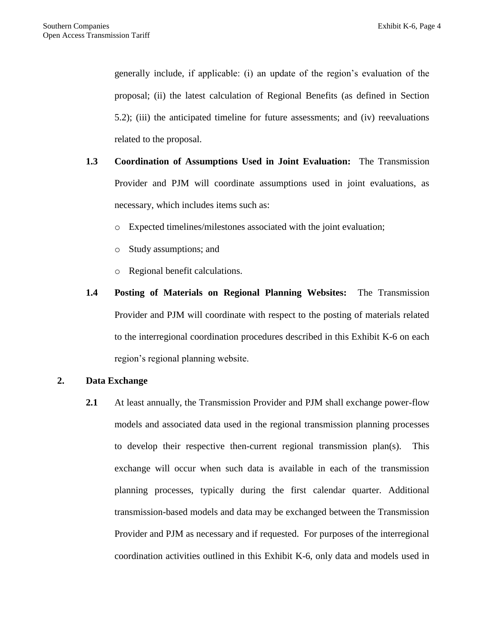generally include, if applicable: (i) an update of the region's evaluation of the proposal; (ii) the latest calculation of Regional Benefits (as defined in Section 5.2); (iii) the anticipated timeline for future assessments; and (iv) reevaluations related to the proposal.

- **1.3 Coordination of Assumptions Used in Joint Evaluation:** The Transmission Provider and PJM will coordinate assumptions used in joint evaluations, as necessary, which includes items such as:
	- o Expected timelines/milestones associated with the joint evaluation;
	- o Study assumptions; and
	- o Regional benefit calculations.
- **1.4 Posting of Materials on Regional Planning Websites:** The Transmission Provider and PJM will coordinate with respect to the posting of materials related to the interregional coordination procedures described in this Exhibit K-6 on each region's regional planning website.

## **2. Data Exchange**

**2.1** At least annually, the Transmission Provider and PJM shall exchange power-flow models and associated data used in the regional transmission planning processes to develop their respective then-current regional transmission plan(s). This exchange will occur when such data is available in each of the transmission planning processes, typically during the first calendar quarter. Additional transmission-based models and data may be exchanged between the Transmission Provider and PJM as necessary and if requested. For purposes of the interregional coordination activities outlined in this Exhibit K-6, only data and models used in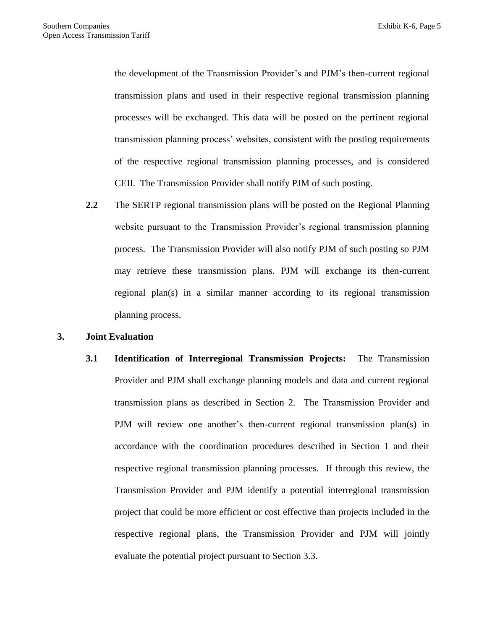the development of the Transmission Provider's and PJM's then-current regional transmission plans and used in their respective regional transmission planning processes will be exchanged. This data will be posted on the pertinent regional transmission planning process' websites, consistent with the posting requirements of the respective regional transmission planning processes, and is considered CEII. The Transmission Provider shall notify PJM of such posting.

**2.2** The SERTP regional transmission plans will be posted on the Regional Planning website pursuant to the Transmission Provider's regional transmission planning process. The Transmission Provider will also notify PJM of such posting so PJM may retrieve these transmission plans. PJM will exchange its then-current regional plan(s) in a similar manner according to its regional transmission planning process.

## **3. Joint Evaluation**

**3.1 Identification of Interregional Transmission Projects:** The Transmission Provider and PJM shall exchange planning models and data and current regional transmission plans as described in Section 2. The Transmission Provider and PJM will review one another's then-current regional transmission plan(s) in accordance with the coordination procedures described in Section 1 and their respective regional transmission planning processes. If through this review, the Transmission Provider and PJM identify a potential interregional transmission project that could be more efficient or cost effective than projects included in the respective regional plans, the Transmission Provider and PJM will jointly evaluate the potential project pursuant to Section 3.3.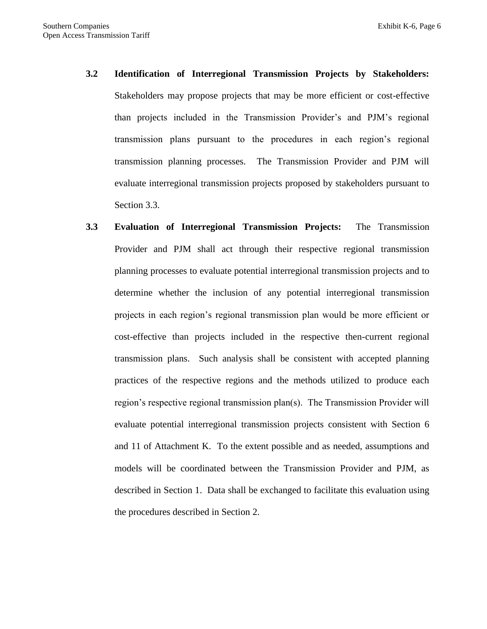- **3.2 Identification of Interregional Transmission Projects by Stakeholders:**  Stakeholders may propose projects that may be more efficient or cost-effective than projects included in the Transmission Provider's and PJM's regional transmission plans pursuant to the procedures in each region's regional transmission planning processes. The Transmission Provider and PJM will evaluate interregional transmission projects proposed by stakeholders pursuant to Section 3.3.
- **3.3 Evaluation of Interregional Transmission Projects:** The Transmission Provider and PJM shall act through their respective regional transmission planning processes to evaluate potential interregional transmission projects and to determine whether the inclusion of any potential interregional transmission projects in each region's regional transmission plan would be more efficient or cost-effective than projects included in the respective then-current regional transmission plans. Such analysis shall be consistent with accepted planning practices of the respective regions and the methods utilized to produce each region's respective regional transmission plan(s). The Transmission Provider will evaluate potential interregional transmission projects consistent with Section 6 and 11 of Attachment K. To the extent possible and as needed, assumptions and models will be coordinated between the Transmission Provider and PJM, as described in Section 1. Data shall be exchanged to facilitate this evaluation using the procedures described in Section 2.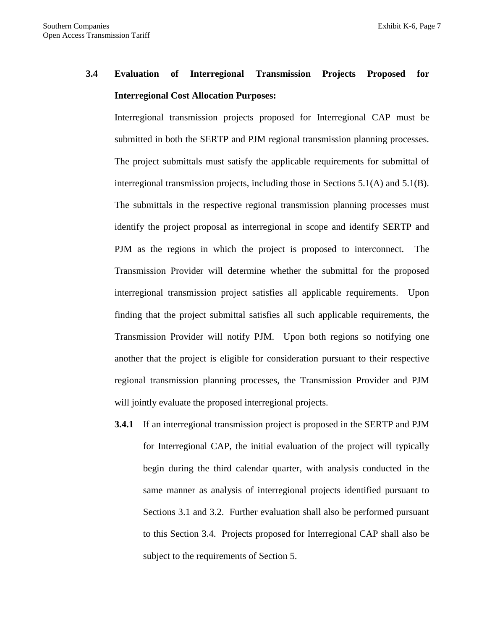# **3.4 Evaluation of Interregional Transmission Projects Proposed for Interregional Cost Allocation Purposes:**

Interregional transmission projects proposed for Interregional CAP must be submitted in both the SERTP and PJM regional transmission planning processes. The project submittals must satisfy the applicable requirements for submittal of interregional transmission projects, including those in Sections 5.1(A) and 5.1(B). The submittals in the respective regional transmission planning processes must identify the project proposal as interregional in scope and identify SERTP and PJM as the regions in which the project is proposed to interconnect. The Transmission Provider will determine whether the submittal for the proposed interregional transmission project satisfies all applicable requirements. Upon finding that the project submittal satisfies all such applicable requirements, the Transmission Provider will notify PJM. Upon both regions so notifying one another that the project is eligible for consideration pursuant to their respective regional transmission planning processes, the Transmission Provider and PJM will jointly evaluate the proposed interregional projects.

**3.4.1** If an interregional transmission project is proposed in the SERTP and PJM for Interregional CAP, the initial evaluation of the project will typically begin during the third calendar quarter, with analysis conducted in the same manner as analysis of interregional projects identified pursuant to Sections 3.1 and 3.2. Further evaluation shall also be performed pursuant to this Section 3.4. Projects proposed for Interregional CAP shall also be subject to the requirements of Section 5.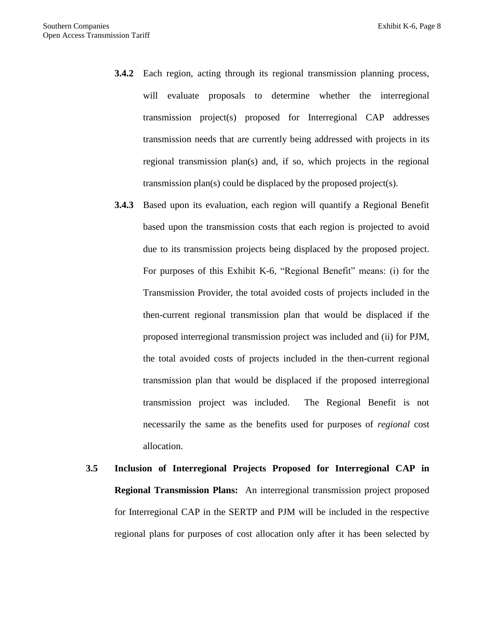- **3.4.2** Each region, acting through its regional transmission planning process, will evaluate proposals to determine whether the interregional transmission project(s) proposed for Interregional CAP addresses transmission needs that are currently being addressed with projects in its regional transmission plan(s) and, if so, which projects in the regional transmission plan(s) could be displaced by the proposed project(s).
- **3.4.3** Based upon its evaluation, each region will quantify a Regional Benefit based upon the transmission costs that each region is projected to avoid due to its transmission projects being displaced by the proposed project. For purposes of this Exhibit K-6, "Regional Benefit" means: (i) for the Transmission Provider, the total avoided costs of projects included in the then-current regional transmission plan that would be displaced if the proposed interregional transmission project was included and (ii) for PJM, the total avoided costs of projects included in the then-current regional transmission plan that would be displaced if the proposed interregional transmission project was included. The Regional Benefit is not necessarily the same as the benefits used for purposes of *regional* cost allocation.
- **3.5 Inclusion of Interregional Projects Proposed for Interregional CAP in Regional Transmission Plans:** An interregional transmission project proposed for Interregional CAP in the SERTP and PJM will be included in the respective regional plans for purposes of cost allocation only after it has been selected by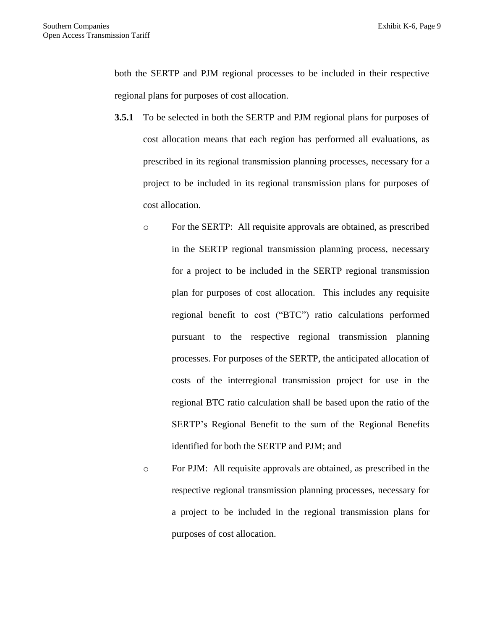both the SERTP and PJM regional processes to be included in their respective regional plans for purposes of cost allocation.

- **3.5.1** To be selected in both the SERTP and PJM regional plans for purposes of cost allocation means that each region has performed all evaluations, as prescribed in its regional transmission planning processes, necessary for a project to be included in its regional transmission plans for purposes of cost allocation.
	- o For the SERTP: All requisite approvals are obtained, as prescribed in the SERTP regional transmission planning process, necessary for a project to be included in the SERTP regional transmission plan for purposes of cost allocation. This includes any requisite regional benefit to cost ("BTC") ratio calculations performed pursuant to the respective regional transmission planning processes. For purposes of the SERTP, the anticipated allocation of costs of the interregional transmission project for use in the regional BTC ratio calculation shall be based upon the ratio of the SERTP's Regional Benefit to the sum of the Regional Benefits identified for both the SERTP and PJM; and
	- o For PJM: All requisite approvals are obtained, as prescribed in the respective regional transmission planning processes, necessary for a project to be included in the regional transmission plans for purposes of cost allocation.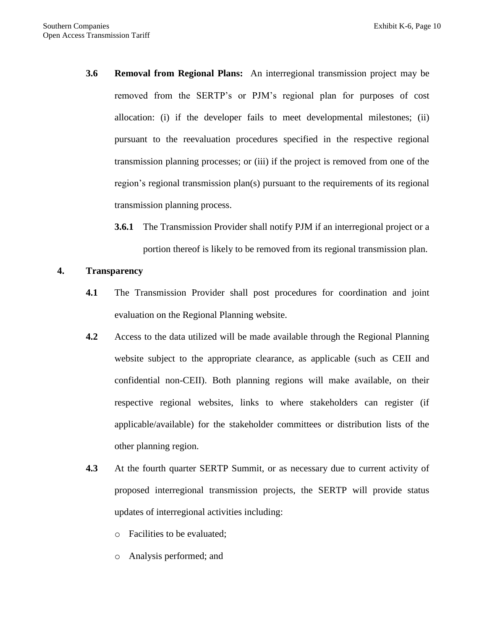- **3.6 Removal from Regional Plans:** An interregional transmission project may be removed from the SERTP's or PJM's regional plan for purposes of cost allocation: (i) if the developer fails to meet developmental milestones; (ii) pursuant to the reevaluation procedures specified in the respective regional transmission planning processes; or (iii) if the project is removed from one of the region's regional transmission plan(s) pursuant to the requirements of its regional transmission planning process.
	- **3.6.1** The Transmission Provider shall notify PJM if an interregional project or a portion thereof is likely to be removed from its regional transmission plan.

# **4. Transparency**

- **4.1** The Transmission Provider shall post procedures for coordination and joint evaluation on the Regional Planning website.
- **4.2** Access to the data utilized will be made available through the Regional Planning website subject to the appropriate clearance, as applicable (such as CEII and confidential non-CEII). Both planning regions will make available, on their respective regional websites, links to where stakeholders can register (if applicable/available) for the stakeholder committees or distribution lists of the other planning region.
- **4.3** At the fourth quarter SERTP Summit, or as necessary due to current activity of proposed interregional transmission projects, the SERTP will provide status updates of interregional activities including:
	- o Facilities to be evaluated;
	- o Analysis performed; and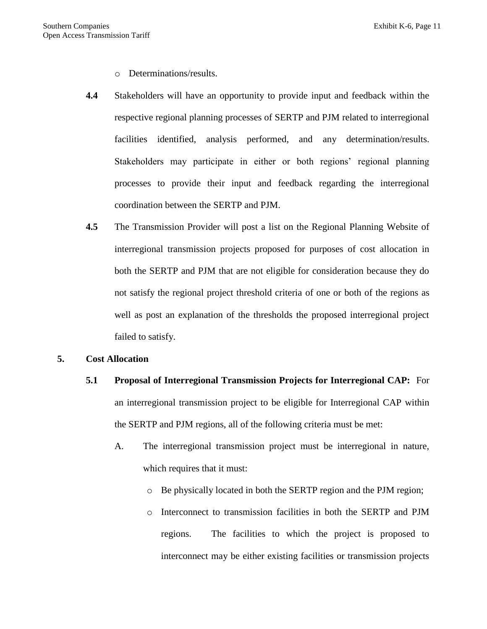- o Determinations/results.
- **4.4** Stakeholders will have an opportunity to provide input and feedback within the respective regional planning processes of SERTP and PJM related to interregional facilities identified, analysis performed, and any determination/results. Stakeholders may participate in either or both regions' regional planning processes to provide their input and feedback regarding the interregional coordination between the SERTP and PJM.
- **4.5** The Transmission Provider will post a list on the Regional Planning Website of interregional transmission projects proposed for purposes of cost allocation in both the SERTP and PJM that are not eligible for consideration because they do not satisfy the regional project threshold criteria of one or both of the regions as well as post an explanation of the thresholds the proposed interregional project failed to satisfy.

## **5. Cost Allocation**

- **5.1 Proposal of Interregional Transmission Projects for Interregional CAP:** For an interregional transmission project to be eligible for Interregional CAP within the SERTP and PJM regions, all of the following criteria must be met:
	- A. The interregional transmission project must be interregional in nature, which requires that it must:
		- o Be physically located in both the SERTP region and the PJM region;
		- o Interconnect to transmission facilities in both the SERTP and PJM regions. The facilities to which the project is proposed to interconnect may be either existing facilities or transmission projects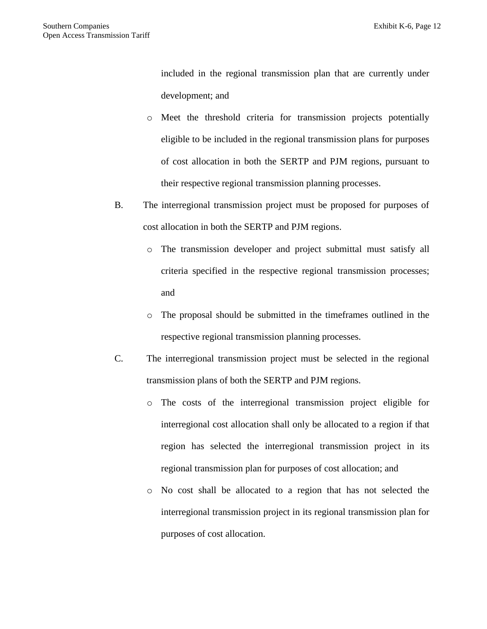included in the regional transmission plan that are currently under development; and

- o Meet the threshold criteria for transmission projects potentially eligible to be included in the regional transmission plans for purposes of cost allocation in both the SERTP and PJM regions, pursuant to their respective regional transmission planning processes.
- B. The interregional transmission project must be proposed for purposes of cost allocation in both the SERTP and PJM regions.
	- o The transmission developer and project submittal must satisfy all criteria specified in the respective regional transmission processes; and
	- o The proposal should be submitted in the timeframes outlined in the respective regional transmission planning processes.
- C. The interregional transmission project must be selected in the regional transmission plans of both the SERTP and PJM regions.
	- o The costs of the interregional transmission project eligible for interregional cost allocation shall only be allocated to a region if that region has selected the interregional transmission project in its regional transmission plan for purposes of cost allocation; and
	- o No cost shall be allocated to a region that has not selected the interregional transmission project in its regional transmission plan for purposes of cost allocation.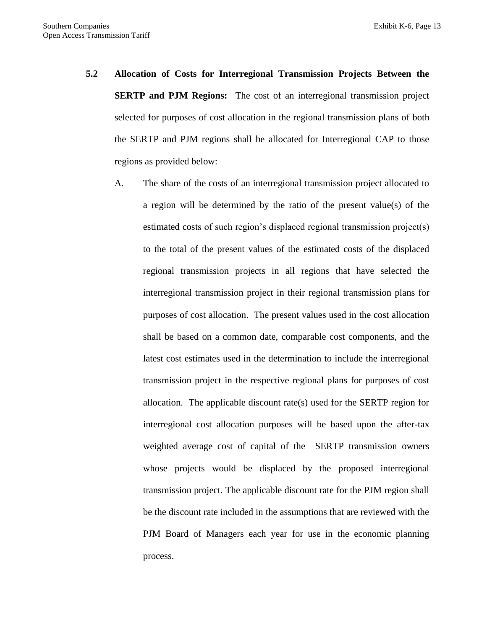- **5.2 Allocation of Costs for Interregional Transmission Projects Between the SERTP and PJM Regions:** The cost of an interregional transmission project selected for purposes of cost allocation in the regional transmission plans of both the SERTP and PJM regions shall be allocated for Interregional CAP to those regions as provided below:
	- A. The share of the costs of an interregional transmission project allocated to a region will be determined by the ratio of the present value(s) of the estimated costs of such region's displaced regional transmission project(s) to the total of the present values of the estimated costs of the displaced regional transmission projects in all regions that have selected the interregional transmission project in their regional transmission plans for purposes of cost allocation. The present values used in the cost allocation shall be based on a common date, comparable cost components, and the latest cost estimates used in the determination to include the interregional transmission project in the respective regional plans for purposes of cost allocation. The applicable discount rate(s) used for the SERTP region for interregional cost allocation purposes will be based upon the after-tax weighted average cost of capital of the SERTP transmission owners whose projects would be displaced by the proposed interregional transmission project. The applicable discount rate for the PJM region shall be the discount rate included in the assumptions that are reviewed with the PJM Board of Managers each year for use in the economic planning process.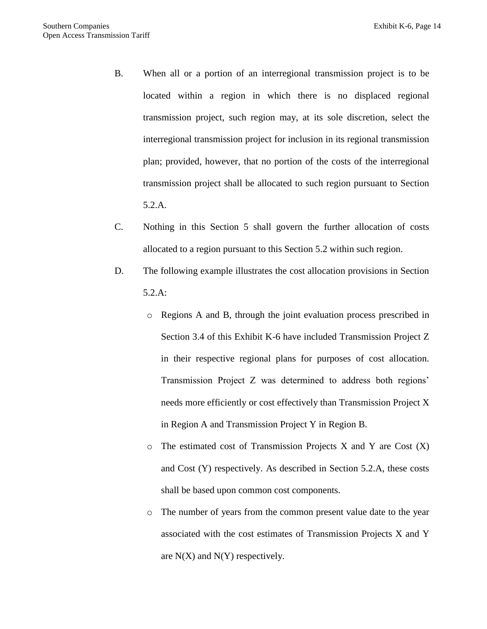- B. When all or a portion of an interregional transmission project is to be located within a region in which there is no displaced regional transmission project, such region may, at its sole discretion, select the interregional transmission project for inclusion in its regional transmission plan; provided, however, that no portion of the costs of the interregional transmission project shall be allocated to such region pursuant to Section 5.2.A.
- C. Nothing in this Section 5 shall govern the further allocation of costs allocated to a region pursuant to this Section 5.2 within such region.
- D. The following example illustrates the cost allocation provisions in Section 5.2.A:
	- o Regions A and B, through the joint evaluation process prescribed in Section 3.4 of this Exhibit K-6 have included Transmission Project Z in their respective regional plans for purposes of cost allocation. Transmission Project Z was determined to address both regions' needs more efficiently or cost effectively than Transmission Project X in Region A and Transmission Project Y in Region B.
	- $\circ$  The estimated cost of Transmission Projects X and Y are Cost  $(X)$ and Cost (Y) respectively. As described in Section 5.2.A, these costs shall be based upon common cost components.
	- o The number of years from the common present value date to the year associated with the cost estimates of Transmission Projects X and Y are  $N(X)$  and  $N(Y)$  respectively.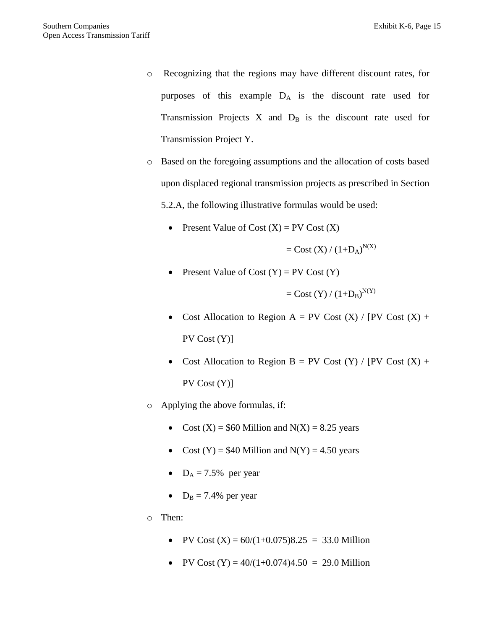- o Recognizing that the regions may have different discount rates, for purposes of this example  $D_A$  is the discount rate used for Transmission Projects  $X$  and  $D_B$  is the discount rate used for Transmission Project Y.
- o Based on the foregoing assumptions and the allocation of costs based upon displaced regional transmission projects as prescribed in Section 5.2.A, the following illustrative formulas would be used:
	- Present Value of Cost  $(X)$  = PV Cost  $(X)$

 $=$  Cost (X) / (1+D<sub>A</sub>)<sup>N(X)</sup>

Present Value of Cost  $(Y)$  = PV Cost  $(Y)$ 

 $=$  Cost (Y) / (1+D<sub>B</sub>)<sup>N(Y)</sup>

- Cost Allocation to Region  $A = PV$  Cost  $(X) / [PV$  Cost  $(X) +$ PV Cost (Y)]
- Cost Allocation to Region B = PV Cost  $(Y)$  / [PV Cost  $(X)$  + PV Cost (Y)]
- o Applying the above formulas, if:
	- Cost  $(X) = $60$  Million and  $N(X) = 8.25$  years
	- Cost  $(Y) = $40$  Million and  $N(Y) = 4.50$  years
	- $D_A = 7.5\%$  per year
	- $D_B = 7.4\%$  per year
- o Then:
	- PV Cost  $(X) = 60/(1+0.075)8.25 = 33.0$  Million
	- PV Cost  $(Y) = 40/(1+0.074)4.50 = 29.0$  Million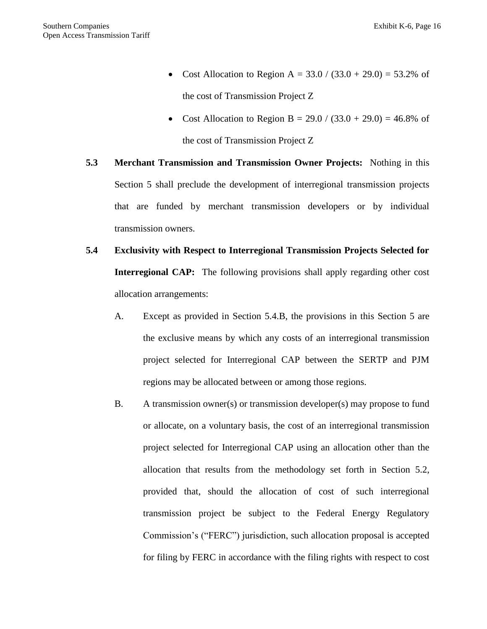- Cost Allocation to Region A =  $33.0 / (33.0 + 29.0) = 53.2\%$  of the cost of Transmission Project Z
- Cost Allocation to Region B =  $29.0 / (33.0 + 29.0) = 46.8\%$  of the cost of Transmission Project Z
- **5.3 Merchant Transmission and Transmission Owner Projects:** Nothing in this Section 5 shall preclude the development of interregional transmission projects that are funded by merchant transmission developers or by individual transmission owners.
- **5.4 Exclusivity with Respect to Interregional Transmission Projects Selected for Interregional CAP:** The following provisions shall apply regarding other cost allocation arrangements:
	- A. Except as provided in Section 5.4.B, the provisions in this Section 5 are the exclusive means by which any costs of an interregional transmission project selected for Interregional CAP between the SERTP and PJM regions may be allocated between or among those regions.
	- B. A transmission owner(s) or transmission developer(s) may propose to fund or allocate, on a voluntary basis, the cost of an interregional transmission project selected for Interregional CAP using an allocation other than the allocation that results from the methodology set forth in Section 5.2, provided that, should the allocation of cost of such interregional transmission project be subject to the Federal Energy Regulatory Commission's ("FERC") jurisdiction, such allocation proposal is accepted for filing by FERC in accordance with the filing rights with respect to cost